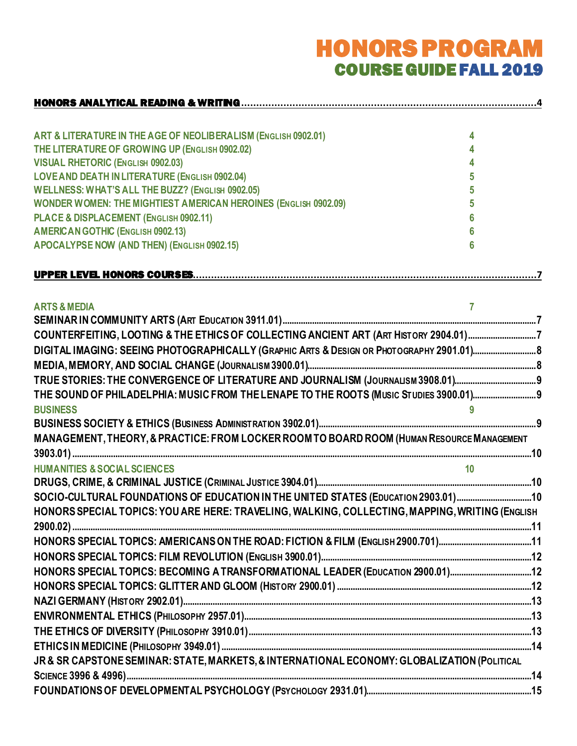# HONORS PROGRAM COURSE GUIDE FALL 2019

| ART & LITERATURE IN THE AGE OF NEOLIBERALISM (ENGLISH 0902.01)         |  |
|------------------------------------------------------------------------|--|
| THE LITERATURE OF GROWING UP (ENGLISH 0902.02)                         |  |
| VISUAL RHETORIC (ENGLISH 0902.03)                                      |  |
| LOVE AND DEATH IN LITERATURE (ENGLISH 0902.04)                         |  |
| WELLNESS: WHAT'S ALL THE BUZZ? (ENGLISH 0902.05)                       |  |
| <b>WONDER WOMEN: THE MIGHTIEST AMERICAN HEROINES (ENGLISH 0902.09)</b> |  |
| PLACE & DISPLACEMENT (ENGLISH 0902.11)                                 |  |
| <b>AMERICAN GOTHIC (ENGLISH 0902.13)</b>                               |  |
| APOCALYPSE NOW (AND THEN) (ENGLISH 0902.15)                            |  |

| <b>ARTS &amp; MEDIA</b>                                                                        |  |
|------------------------------------------------------------------------------------------------|--|
|                                                                                                |  |
| COUNTERFEITING, LOOTING & THE ETHICS OF COLLECTING ANCIENT ART (ART HISTORY 2904.01)7          |  |
|                                                                                                |  |
|                                                                                                |  |
| TRUE STORIES: THE CONVERGENCE OF LITERATURE AND JOURNALISM (JOURNALISM 3908.01)                |  |
| THE SOUND OF PHILADELPHIA: MUSIC FROM THE LENAPE TO THE ROOTS (MUSIC STUDIES 3900.01)          |  |
| <b>BUSINESS</b>                                                                                |  |
|                                                                                                |  |
| MANAGEMENT, THEORY, & PRACTICE: FROM LOCKER ROOM TO BOARD ROOM (HUMAN RESOURCE MANAGEMENT      |  |
|                                                                                                |  |
| <b>HUMANITIES &amp; SOCIAL SCIENCES</b>                                                        |  |
|                                                                                                |  |
| SOCIO-CULTURAL FOUNDATIONS OF EDUCATION IN THE UNITED STATES (EDUCATION 2903.01)10             |  |
| HONORS SPECIAL TOPICS: YOU ARE HERE: TRAVELING, WALKING, COLLECTING, MAPPING, WRITING (ENGLISH |  |
|                                                                                                |  |
|                                                                                                |  |
|                                                                                                |  |
| HONORS SPECIAL TOPICS: BECOMING A TRANSFORMATIONAL LEADER (EDUCATION 2900.01)12                |  |
|                                                                                                |  |
|                                                                                                |  |
|                                                                                                |  |
|                                                                                                |  |
|                                                                                                |  |
| JR & SR CAPSTONE SEMINAR: STATE, MARKETS, & INTERNATIONAL ECONOMY: GLOBALIZATION (POLITICAL    |  |
|                                                                                                |  |
|                                                                                                |  |
|                                                                                                |  |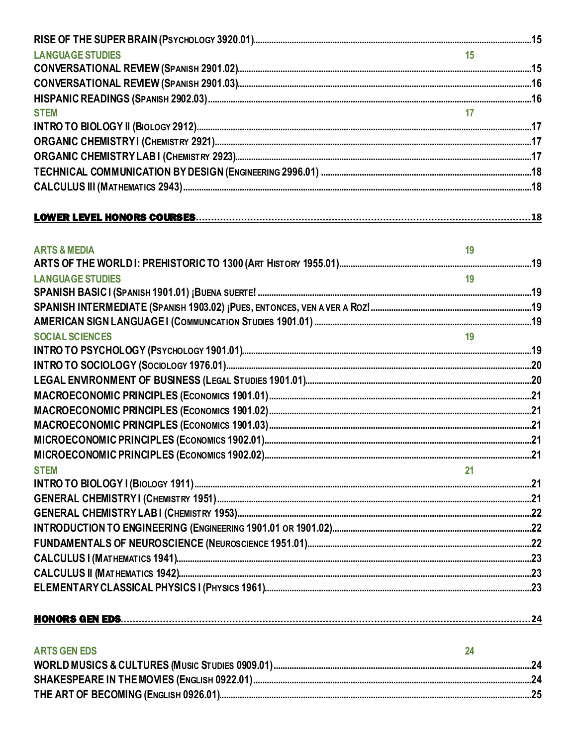| <b>LANGUAGE STUDIES</b> |    |  |
|-------------------------|----|--|
|                         |    |  |
|                         |    |  |
|                         |    |  |
| <b>STEM</b>             |    |  |
|                         |    |  |
|                         |    |  |
|                         |    |  |
|                         |    |  |
|                         |    |  |
|                         |    |  |
|                         |    |  |
| <b>ARTS &amp; MEDIA</b> | 19 |  |
|                         |    |  |
| <b>LANGUAGE STUDIES</b> | 19 |  |
|                         |    |  |
|                         |    |  |
| <b>SOCIAL SCIENCES</b>  | 19 |  |
|                         |    |  |
|                         |    |  |
|                         |    |  |
|                         |    |  |
|                         |    |  |
|                         |    |  |
|                         |    |  |
|                         |    |  |
| <b>STEM</b>             | 21 |  |
|                         |    |  |
|                         |    |  |
|                         |    |  |
|                         |    |  |
|                         |    |  |
|                         |    |  |
|                         |    |  |
|                         |    |  |
|                         |    |  |
| <b>ARTS GEN EDS</b>     | 24 |  |
|                         |    |  |
|                         |    |  |
|                         |    |  |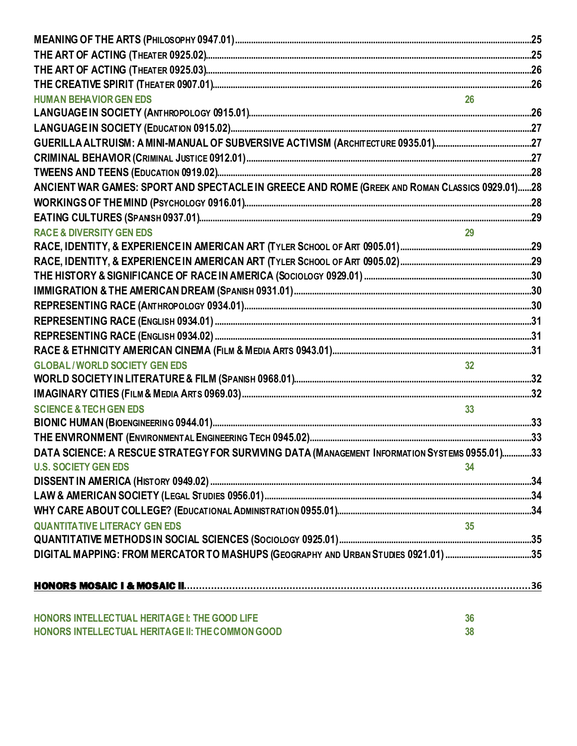| <b>HUMAN BEHAVIOR GEN EDS</b>                                                                  |                 |  |
|------------------------------------------------------------------------------------------------|-----------------|--|
|                                                                                                |                 |  |
|                                                                                                |                 |  |
|                                                                                                |                 |  |
|                                                                                                |                 |  |
|                                                                                                |                 |  |
| ANCIENT WAR GAMES: SPORT AND SPECTACLE IN GREECE AND ROME (GREEK AND ROMAN CLASSICS 0929.01)28 |                 |  |
|                                                                                                |                 |  |
|                                                                                                |                 |  |
| <b>RACE &amp; DIVERSITY GEN EDS</b>                                                            |                 |  |
|                                                                                                |                 |  |
|                                                                                                |                 |  |
|                                                                                                |                 |  |
|                                                                                                |                 |  |
|                                                                                                |                 |  |
|                                                                                                |                 |  |
|                                                                                                |                 |  |
|                                                                                                |                 |  |
| <b>GLOBAL/WORLD SOCIETY GEN EDS</b>                                                            | 32 <sub>2</sub> |  |
|                                                                                                |                 |  |
|                                                                                                |                 |  |
| <b>SCIENCE &amp; TECH GEN EDS</b>                                                              | 33 <sup>°</sup> |  |
|                                                                                                |                 |  |
|                                                                                                |                 |  |
| DATA SCIENCE: A RESCUE STRATEGY FOR SURVIVING DATA (MANAGEMENT INFORMATION SYSTEMS 0955.01)33  |                 |  |
| <b>U.S. SOCIETY GEN EDS</b>                                                                    | 34              |  |
|                                                                                                |                 |  |
|                                                                                                |                 |  |
|                                                                                                |                 |  |
| <b>QUANTITATIVE LITERACY GEN EDS</b>                                                           | 35              |  |
|                                                                                                |                 |  |
| DIGITAL MAPPING: FROM MERCATOR TO MASHUPS (GEOGRAPHY AND URBAN STUDIES 0921.01) 35             |                 |  |
|                                                                                                |                 |  |
| HONORS INTELLECTUAL HERITAGE I: THE GOOD LIFE                                                  | 36              |  |
| HONORS INTELLECTUAL HERITAGE II: THE COMMON GOOD                                               | 38              |  |
|                                                                                                |                 |  |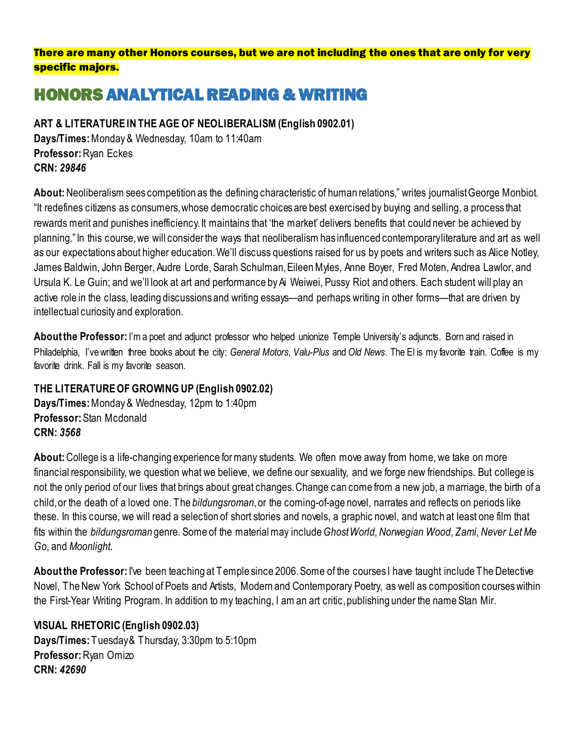### There are many other Honors courses, but we are not including the ones that are only for very specific majors.

# <span id="page-3-0"></span>HONORS ANALYTICAL READING & WRITING

<span id="page-3-1"></span>**ART & LITERATURE IN THE AGE OF NEOLIBERALISM (English 0902.01)** 

**Days/Times:** Monday & Wednesday, 10am to 11:40am **Professor:** Ryan Eckes **CRN:** *29846*

**About:** Neoliberalism sees competition as the defining characteristic of human relations," writes journalist George Monbiot. "It redefines citizens as consumers, whose democratic choices are best exercised by buying and selling, a process that rewards merit and punishes inefficiency. It maintains that 'the market' delivers benefits that could never be achieved by planning." In this course, we will consider the ways that neoliberalism has influenced contemporary literature and art as well as our expectations about higher education. We'll discuss questions raised for us by poets and writers such as Alice Notley, James Baldwin, John Berger, Audre Lorde, Sarah Schulman, Eileen Myles, Anne Boyer, Fred Moten, Andrea Lawlor, and Ursula K. Le Guin; and we'll look at art and performance by Ai Weiwei, Pussy Riot and others. Each student will play an active role in the class, leading discussions and writing essays—and perhaps writing in other forms—that are driven by intellectual curiosity and exploration.

About the Professor: I'm a poet and adjunct professor who helped unionize Temple University's adjuncts. Born and raised in Philadelphia, I've written three books about the city: *General Motors, Valu-Plus* and *Old News*. The El is my favorite train. Coffee is my favorite drink. Fall is my favorite season.

### <span id="page-3-2"></span>**THE LITERATURE OF GROWING UP (English 0902.02)**

**Days/Times:** Monday & Wednesday, 12pm to 1:40pm **Professor:** Stan Mcdonald **CRN:** *3568*

**About:** College is a life-changing experience for many students. We often move away from home, we take on more financial responsibility, we question what we believe, we define our sexuality, and we forge new friendships. But college is not the only period of our lives that brings about great changes. Change can come from a new job, a marriage, the birth of a child, or the death of a loved one. The *bildungsroman*, or the coming-of-age novel, narrates and reflects on periods like these. In this course, we will read a selection of short stories and novels, a graphic novel, and watch at least one film that fits within the *bildungsroman* genre. Some of the material may include*Ghost World*, *Norwegian Wood*, *Zami*, *Never Let Me Go*, and *Moonlight*.

**About the Professor:** I've been teaching at Temple since 2006. Some of the courses I have taught include The Detective Novel, The New York School of Poets and Artists, Modern and Contemporary Poetry, as well as composition courses within the First-Year Writing Program. In addition to my teaching, I am an art critic, publishing under the name Stan Mir.

### <span id="page-3-3"></span>**VISUAL RHETORIC (English 0902.03)**

**Days/Times: Tuesday & Thursday, 3:30pm to 5:10pm Professor:** Ryan Omizo **CRN:** *42690*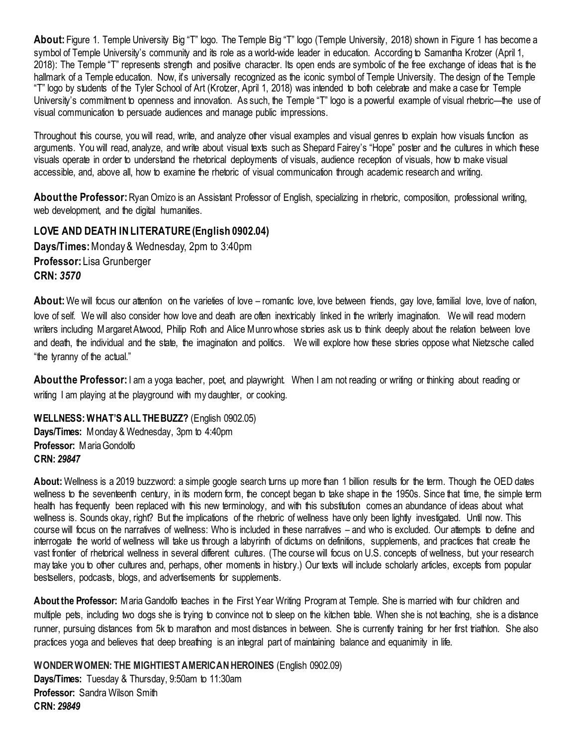**About:** Figure 1. Temple University Big "T" logo. The Temple Big "T" logo (Temple University, 2018) shown in Figure 1 has become a symbol of Temple University's community and its role as a world-wide leader in education. According to Samantha Krotzer (April 1, 2018): The Temple "T" represents strength and positive character. Its open ends are symbolic of the free exchange of ideas that is the hallmark of a Temple education. Now, it's universally recognized as the iconic symbol of Temple University. The design of the Temple "T" logo by students of the Tyler School of Art (Krotzer, April 1, 2018) was intended to both celebrate and make a case for Temple University's commitment to openness and innovation. As such, the Temple "T" logo is a powerful example of visual rhetoric—the use of visual communication to persuade audiences and manage public impressions.

Throughout this course, you will read, write, and analyze other visual examples and visual genres to explain how visuals function as arguments. You will read, analyze, and write about visual texts such as Shepard Fairey's "Hope" poster and the cultures in which these visuals operate in order to understand the rhetorical deployments of visuals, audience reception of visuals, how to make visual accessible, and, above all, how to examine the rhetoric of visual communication through academic research and writing.

**About the Professor:**Ryan Omizo is an Assistant Professor of English, specializing in rhetoric, composition, professional writing, web development, and the digital humanities.

### <span id="page-4-0"></span>**LOVE AND DEATH IN LITERATURE (English 0902.04) Days/Times:** Monday & Wednesday, 2pm to 3:40pm **Professor:** Lisa Grunberger **CRN:** *3570*

About: We will focus our attention on the varieties of love – romantic love, love between friends, gay love, familial love, love of nation, love of self. We will also consider how love and death are often inextricably linked in the writerly imagination. We will read modern writers including Margaret Atwood, Philip Roth and Alice Munro whose stories ask us to think deeply about the relation between love and death, the individual and the state, the imagination and politics. We will explore how these stories oppose what Nietzsche called "the tyranny of the actual."

About the Professor: I am a yoga teacher, poet, and playwright. When I am not reading or writing or thinking about reading or writing I am playing at the playground with my daughter, or cooking.

<span id="page-4-1"></span>**WELLNESS: WHAT'S ALL THE BUZZ?** (English 0902.05)

**Days/Times:** Monday & Wednesday, 3pm to 4:40pm **Professor:** Maria Gondolfo **CRN:** *29847*

**About:** Wellness is a 2019 buzzword: a simple google search turns up more than 1 billion results for the term. Though the OED dates wellness to the seventeenth century, in its modern form, the concept began to take shape in the 1950s. Since that time, the simple term health has frequently been replaced with this new terminology, and with this substitution comes an abundance of ideas about what wellness is. Sounds okay, right? But the implications of the rhetoric of wellness have only been lightly investigated. Until now. This course will focus on the narratives of wellness: Who is included in these narratives – and who is excluded. Our attempts to define and interrogate the world of wellness will take us through a labyrinth of dictums on definitions, supplements, and practices that create the vast frontier of rhetorical wellness in several different cultures. (The course will focus on U.S. concepts of wellness, but your research may take you to other cultures and, perhaps, other moments in history.) Our texts will include scholarly articles, excepts from popular bestsellers, podcasts, blogs, and advertisements for supplements.

**About the Professor:** Maria Gandolfo teaches in the First Year Writing Program at Temple. She is married with four children and multiple pets, including two dogs she is trying to convince not to sleep on the kitchen table. When she is not teaching, she is a distance runner, pursuing distances from 5k to marathon and most distances in between. She is currently training for her first triathlon. She also practices yoga and believes that deep breathing is an integral part of maintaining balance and equanimity in life.

<span id="page-4-2"></span>**WONDER WOMEN: THE MIGHTIEST AMERICAN HEROINES** (English 0902.09) **Days/Times:** Tuesday & Thursday, 9:50am to 11:30am **Professor:** Sandra Wilson Smith **CRN:** *29849*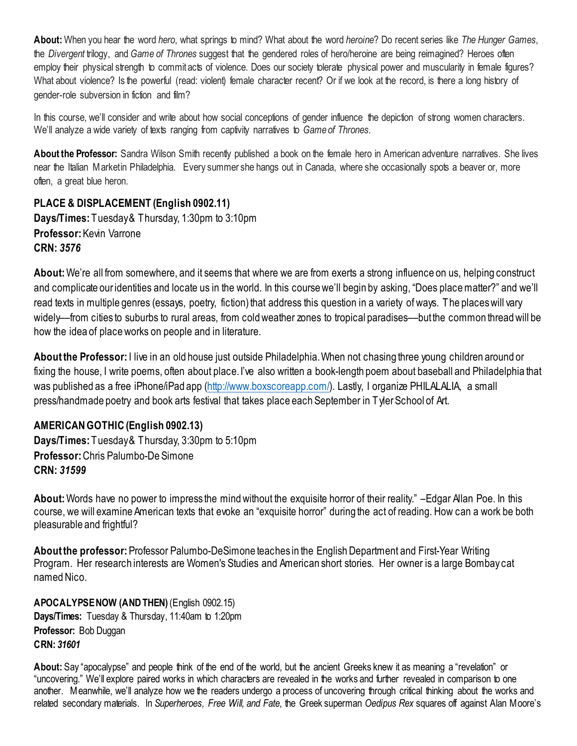**About:** When you hear the word *hero*, what springs to mind? What about the word *heroine*? Do recent series like *The Hunger Games*, the *Divergent* trilogy, and *Game of Thrones* suggest that the gendered roles of hero/heroine are being reimagined? Heroes often employ their physical strength to commit acts of violence. Does our society tolerate physical power and muscularity in female figures? What about violence? Is the powerful (read: violent) female character recent? Or if we look at the record, is there a long history of gender-role subversion in fiction and film?

In this course, we'll consider and write about how social conceptions of gender influence the depiction of strong women characters. We'll analyze a wide variety of texts ranging from captivity narratives to *Game of Thrones*.

**About the Professor:** Sandra Wilson Smith recently published a book on the female hero in American adventure narratives. She lives near the Italian Market in Philadelphia. Every summer she hangs out in Canada, where she occasionally spots a beaver or, more often, a great blue heron.

### <span id="page-5-0"></span>**PLACE & DISPLACEMENT (English 0902.11)**

**Days/Times:** Tuesday & Thursday, 1:30pm to 3:10pm **Professor:** Kevin Varrone **CRN:** *3576*

**About:** We're all from somewhere, and it seems that where we are from exerts a strong influence on us, helping construct and complicate our identities and locate us in the world. In this course we'll begin by asking, "Does place matter?" and we'll read texts in multiple genres (essays, poetry, fiction) that address this question in a variety of ways. The places will vary widely––from cities to suburbs to rural areas, from cold weather zones to tropical paradises––but the common thread will be how the idea of place works on people and in literature.

**About the Professor:** I live in an old house just outside Philadelphia. When not chasing three young children around or fixing the house, I write poems, often about place. I've also written a book-length poem about baseball and Philadelphia that was published as a free iPhone/iPad app [\(http://www.boxscoreapp.com/\)](http://www.boxscoreapp.com/). Lastly, I organize PHILALALIA, a small press/handmade poetry and book arts festival that takes place each September in Tyler School of Art.

### <span id="page-5-1"></span>**AMERICAN GOTHIC (English 0902.13)**

**Days/Times:** Tuesday & Thursday, 3:30pm to 5:10pm **Professor:** Chris Palumbo-De Simone **CRN:** *31599*

**About:** Words have no power to impress the mind without the exquisite horror of their reality." –Edgar Allan Poe. In this course, we will examine American texts that evoke an "exquisite horror" during the act of reading. How can a work be both pleasurable and frightful?

**About the professor:** Professor Palumbo-DeSimone teaches in the English Department and First-Year Writing Program. Her research interests are Women's Studies and American short stories. Her owner is a large Bombay cat named Nico.

<span id="page-5-2"></span>**APOCALYPSE NOW (AND THEN)** (English 0902.15) **Days/Times:** Tuesday & Thursday, 11:40am to 1:20pm **Professor:** Bob Duggan **CRN:** *31601*

**About:** Say "apocalypse" and people think of the end of the world, but the ancient Greeks knew it as meaning a "revelation" or "uncovering." We'll explore paired works in which characters are revealed in the works and further revealed in comparison to one another. Meanwhile, we'll analyze how we the readers undergo a process of uncovering through critical thinking about the works and related secondary materials. In *Superheroes, Free Will, and Fate*, the Greek superman *Oedipus Rex* squares off against Alan Moore's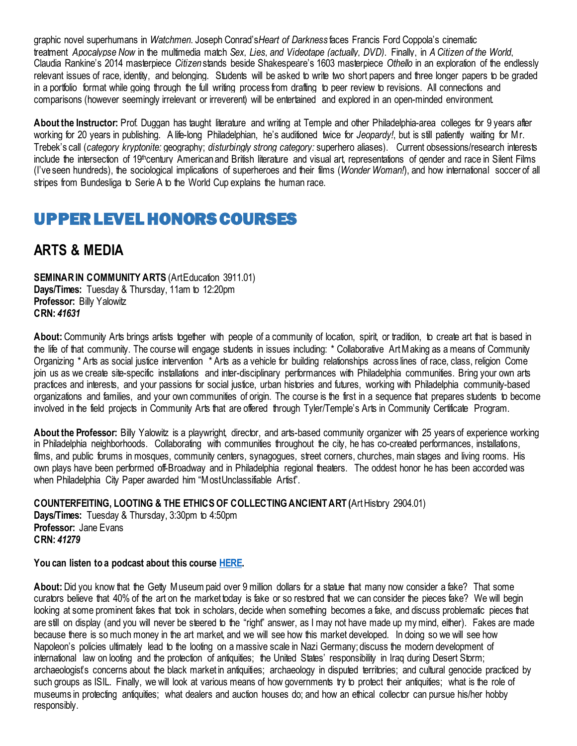graphic novel superhumans in *Watchmen*. Joseph Conrad's*Heart of Darkness* faces Francis Ford Coppola's cinematic treatment *Apocalypse Now* in the multimedia match *Sex, Lies, and Videotape (actually, DVD)*. Finally, in *A Citizen of the World*, Claudia Rankine's 2014 masterpiece *Citizen* stands beside Shakespeare's 1603 masterpiece *Othello* in an exploration of the endlessly relevant issues of race, identity, and belonging. Students will be asked to write two short papers and three longer papers to be graded in a portfolio format while going through the full writing process from drafting to peer review to revisions. All connections and comparisons (however seemingly irrelevant or irreverent) will be entertained and explored in an open-minded environment.

**About the Instructor:** Prof. Duggan has taught literature and writing at Temple and other Philadelphia-area colleges for 9 years after working for 20 years in publishing. A life-long Philadelphian, he's auditioned twice for *Jeopardy!*, but is still patiently waiting for Mr. Trebek's call (*category kryptonite:* geography; *disturbingly strong category:* superhero aliases). Current obsessions/research interests include the intersection of 19<sup>th</sup>century American and British literature and visual art, representations of gender and race in Silent Films (I've seen hundreds), the sociological implications of superheroes and their films (*Wonder Woman!*), and how international soccer of all stripes from Bundesliga to Serie A to the World Cup explains the human race.

## <span id="page-6-0"></span>UPPER LEVEL HONORS COURSES

## <span id="page-6-1"></span>**ARTS & MEDIA**

<span id="page-6-2"></span>**SEMINAR IN COMMUNITY ARTS (Art Education 3911.01) Days/Times:** Tuesday & Thursday, 11am to 12:20pm **Professor:** Billy Yalowitz **CRN:** *41631*

About: Community Arts brings artists together with people of a community of location, spirit, or tradition, to create art that is based in the life of that community. The course will engage students in issues including: \* Collaborative Art Making as a means of Community Organizing \* Arts as social justice intervention \* Arts as a vehicle for building relationships across lines of race, class, religion Come join us as we create site-specific installations and inter-disciplinary performances with Philadelphia communities. Bring your own arts practices and interests, and your passions for social justice, urban histories and futures, working with Philadelphia community-based organizations and families, and your own communities of origin. The course is the first in a sequence that prepares students to become involved in the field projects in Community Arts that are offered through Tyler/Temple's Arts in Community Certificate Program.

**About the Professor:** Billy Yalowitz is a playwright, director, and arts-based community organizer with 25 years of experience working in Philadelphia neighborhoods. Collaborating with communities throughout the city, he has co-created performances, installations, films, and public forums in mosques, community centers, synagogues, street corners, churches, main stages and living rooms. His own plays have been performed off-Broadway and in Philadelphia regional theaters. The oddest honor he has been accorded was when Philadelphia City Paper awarded him "Most Unclassifiable Artist".

<span id="page-6-3"></span>**COUNTERFEITING, LOOTING & THE ETHICS OF COLLECTING ANCIENT ART (**Art History 2904.01)

**Days/Times:** Tuesday & Thursday, 3:30pm to 4:50pm **Professor:** Jane Evans **CRN:** *41279*

#### **You can listen to a podcast about this course [HERE.](https://soundcloud.com/templehonors/of-course-24-counterfeiting-looting-and-the-ethics-of-collecting-ancient-art)**

**About:** Did you know that the Getty Museum paid over 9 million dollars for a statue that many now consider a fake? That some curators believe that 40% of the art on the market today is fake or so restored that we can consider the pieces fake? We will begin looking at some prominent fakes that took in scholars, decide when something becomes a fake, and discuss problematic pieces that are still on display (and you will never be steered to the "right" answer, as I may not have made up my mind, either). Fakes are made because there is so much money in the art market, and we will see how this market developed. In doing so we will see how Napoleon's policies ultimately lead to the looting on a massive scale in Nazi Germany; discuss the modern development of international law on looting and the protection of antiquities; the United States' responsibility in Iraq during Desert Storm; archaeologist's concerns about the black market in antiquities; archaeology in disputed territories; and cultural genocide practiced by such groups as ISIL. Finally, we will look at various means of how governments try to protect their antiquities; what is the role of museums in protecting antiquities; what dealers and auction houses do; and how an ethical collector can pursue his/her hobby responsibly.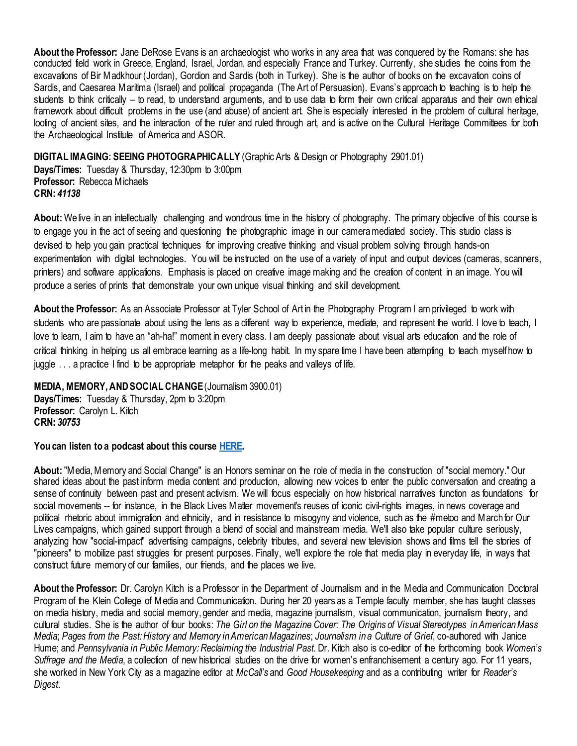**About the Professor:** Jane DeRose Evans is an archaeologist who works in any area that was conquered by the Romans: she has conducted field work in Greece, England, Israel, Jordan, and especially France and Turkey. Currently, she studies the coins from the excavations of Bir Madkhour (Jordan), Gordion and Sardis (both in Turkey). She is the author of books on the excavation coins of Sardis, and Caesarea Maritima (Israel) and political propaganda (The Art of Persuasion). Evans's approach to teaching is to help the students to think critically – to read, to understand arguments, and to use data to form their own critical apparatus and their own ethical framework about difficult problems in the use (and abuse) of ancient art. She is especially interested in the problem of cultural heritage, looting of ancient sites, and the interaction of the ruler and ruled through art, and is active on the Cultural Heritage Committees for both the Archaeological Institute of America and ASOR.

<span id="page-7-0"></span>**DIGITAL IMAGING: SEEING PHOTOGRAPHICALLY** (Graphic Arts & Design or Photography 2901.01)

**Days/Times:** Tuesday & Thursday, 12:30pm to 3:00pm **Professor:** Rebecca Michaels **CRN:** *41138*

**About:** We live in an intellectually challenging and wondrous time in the history of photography. The primary objective of this course is to engage you in the act of seeing and questioning the photographic image in our camera mediated society. This studio class is devised to help you gain practical techniques for improving creative thinking and visual problem solving through hands-on experimentation with digital technologies. You will be instructed on the use of a variety of input and output devices (cameras, scanners, printers) and software applications. Emphasis is placed on creative image making and the creation of content in an image. You will produce a series of prints that demonstrate your own unique visual thinking and skill development.

**About the Professor:** As an Associate Professor at Tyler School of Art in the Photography Program I am privileged to work with students who are passionate about using the lens as a different way to experience, mediate, and represent the world. I love to teach, I love to learn, I aim to have an "ah-ha!" moment in every class. I am deeply passionate about visual arts education and the role of critical thinking in helping us all embrace learning as a life-long habit. In my spare time I have been attempting to teach myself how to juggle . . . a practice I find to be appropriate metaphor for the peaks and valleys of life.

<span id="page-7-1"></span>**MEDIA, MEMORY, AND SOCIAL CHANGE** (Journalism 3900.01)

**Days/Times:** Tuesday & Thursday, 2pm to 3:20pm **Professor:** Carolyn L. Kitch **CRN:** *30753*

**You can listen to a podcast about this course [HERE.](https://soundcloud.com/templehonors/of-course-22-media-memory-and-social-change)** 

**About:** "Media, Memory and Social Change" is an Honors seminar on the role of media in the construction of "social memory." Our shared ideas about the past inform media content and production, allowing new voices to enter the public conversation and creating a sense of continuity between past and present activism. We will focus especially on how historical narratives function as foundations for social movements -- for instance, in the Black Lives Matter movement's reuses of iconic civil-rights images, in news coverage and political rhetoric about immigration and ethnicity, and in resistance to misogyny and violence, such as the #metoo and March for Our Lives campaigns, which gained support through a blend of social and mainstream media. We'll also take popular culture seriously, analyzing how "social-impact" advertising campaigns, celebrity tributes, and several new television shows and films tell the stories of "pioneers" to mobilize past struggles for present purposes. Finally, we'll explore the role that media play in everyday life, in ways that construct future memory of our families, our friends, and the places we live.

**About the Professor:** Dr. Carolyn Kitch is a Professor in the Department of Journalism and in the Media and Communication Doctoral Program of the Klein College of Media and Communication. During her 20 years as a Temple faculty member, she has taught classes on media history, media and social memory, gender and media, magazine journalism, visual communication, journalism theory, and cultural studies. She is the author of four books: *The Girl on the Magazine Cover: The Origins of Visual Stereotypes in American Mass Media*; *Pages from the Past: History and Memory in American Magazines*; *Journalism in a Culture of Grief*, co-authored with Janice Hume; and *Pennsylvania in Public Memory: Reclaiming the Industrial Past*. Dr. Kitch also is co-editor of the forthcoming book *Women's Suffrage and the Media*, a collection of new historical studies on the drive for women's enfranchisement a century ago. For 11 years, she worked in New York City as a magazine editor at *McCall's* and *Good Housekeeping* and as a contributing writer for *Reader's Digest*.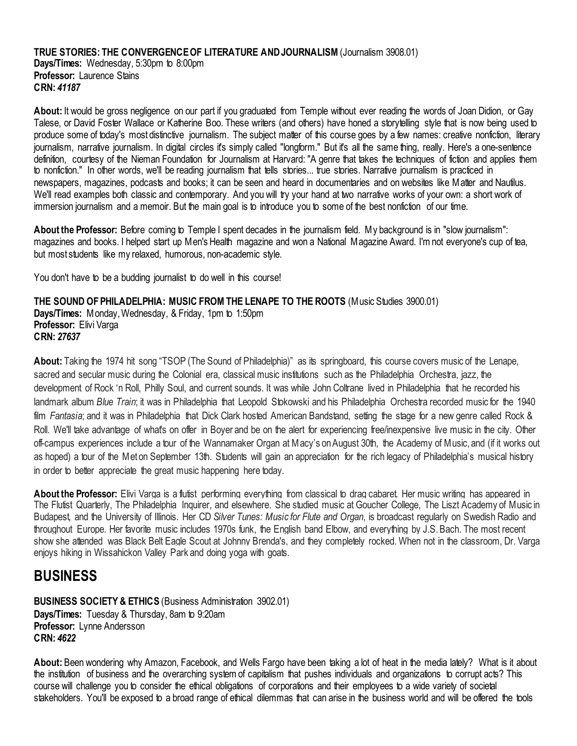#### <span id="page-8-0"></span>**TRUE STORIES: THE CONVERGENCE OF LITERATURE AND JOURNALISM** (Journalism 3908.01) **Days/Times:** Wednesday, 5:30pm to 8:00pm **Professor:** Laurence Stains **CRN:** *41187*

**About:** It would be gross negligence on our part if you graduated from Temple without ever reading the words of Joan Didion, or Gay Talese, or David Foster Wallace or Katherine Boo. These writers (and others) have honed a storytelling style that is now being used to produce some of today's most distinctive journalism. The subject matter of this course goes by a few names: creative nonfiction, literary journalism, narrative journalism. In digital circles it's simply called "longform." But it's all the same thing, really. Here's a one-sentence definition, courtesy of the Nieman Foundation for Journalism at Harvard: "A genre that takes the techniques of fiction and applies them to nonfiction." In other words, we'll be reading journalism that tells stories... true stories. Narrative journalism is practiced in newspapers, magazines, podcasts and books; it can be seen and heard in documentaries and on websites like Matter and Nautilus. We'll read examples both classic and contemporary. And you will try your hand at two narrative works of your own: a short work of immersion journalism and a memoir. But the main goal is to introduce you to some of the best nonfiction of our time.

**About the Professor:** Before coming to Temple I spent decades in the journalism field. My background is in "slow journalism": magazines and books. I helped start up Men's Health magazine and won a National Magazine Award. I'm not everyone's cup of tea, but most students like my relaxed, humorous, non-academic style.

You don't have to be a budding journalist to do well in this course!

<span id="page-8-1"></span>**THE SOUND OF PHILADELPHIA: MUSIC FROM THE LENAPE TO THE ROOTS** (Music Studies 3900.01) **Days/Times:** Monday, Wednesday, & Friday, 1pm to 1:50pm **Professor:** Elivi Varga **CRN:** *27637*

**About:** Taking the 1974 hit song "TSOP (The Sound of Philadelphia)" as its springboard, this course covers music of the Lenape, sacred and secular music during the Colonial era, classical music institutions such as the Philadelphia Orchestra, jazz, the development of Rock 'n Roll, Philly Soul, and current sounds. It was while John Coltrane lived in Philadelphia that he recorded his landmark album *Blue Train*; it was in Philadelphia that Leopold Stokowski and his Philadelphia Orchestra recorded music for the 1940 film *Fantasia*; and it was in Philadelphia that Dick Clark hosted American Bandstand, setting the stage for a new genre called Rock & Roll. We'll take advantage of what's on offer in Boyer and be on the alert for experiencing free/inexpensive live music in the city. Other off-campus experiences include a tour of the Wannamaker Organ at Macy's on August 30th, the Academy of Music, and (if it works out as hoped) a tour of the Met on September 13th. Students will gain an appreciation for the rich legacy of Philadelphia's musical history in order to better appreciate the great music happening here today.

**About the Professor:** Elivi Varga is a flutist performing everything from classical to drag cabaret. Her music writing has appeared in The Flutist Quarterly, The Philadelphia Inquirer, and elsewhere. She studied music at Goucher College, The Liszt Academy of Music in Budapest, and the University of Illinois. Her CD *Silver Tunes: Music for Flute and Organ*, is broadcast regularly on Swedish Radio and throughout Europe. Her favorite music includes 1970s funk, the English band Elbow, and everything by J.S. Bach. The most recent show she attended was Black Belt Eagle Scout at Johnny Brenda's, and they completely rocked. When not in the classroom, Dr. Varga enjoys hiking in Wissahickon Valley Park and doing yoga with goats.

### <span id="page-8-2"></span>**BUSINESS**

<span id="page-8-3"></span>**BUSINESS SOCIETY & ETHICS (Business Administration 3902.01) Days/Times:** Tuesday & Thursday, 8am to 9:20am **Professor:** Lynne Andersson **CRN:** *4622*

**About:** Been wondering why Amazon, Facebook, and Wells Fargo have been taking a lot of heat in the media lately? What is it about the institution of business and the overarching system of capitalism that pushes individuals and organizations to corrupt acts? This course will challenge you to consider the ethical obligations of corporations and their employees to a wide variety of societal stakeholders. You'll be exposed to a broad range of ethical dilemmas that can arise in the business world and will be offered the tools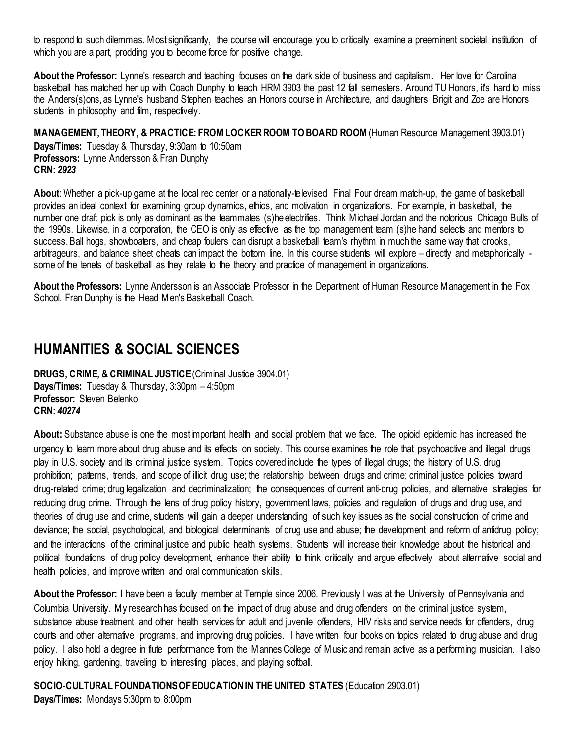to respond to such dilemmas. Most significantly, the course will encourage you to critically examine a preeminent societal institution of which you are a part, prodding you to become force for positive change.

**About the Professor:** Lynne's research and teaching focuses on the dark side of business and capitalism. Her love for Carolina basketball has matched her up with Coach Dunphy to teach HRM 3903 the past 12 fall semesters. Around TU Honors, it's hard to miss the Anders(s)ons, as Lynne's husband Stephen teaches an Honors course in Architecture, and daughters Brigit and Zoe are Honors students in philosophy and film, respectively.

<span id="page-9-0"></span>**MANAGEMENT, THEORY, & PRACTICE: FROM LOCKER ROOM TO BOARD ROOM** (Human Resource Management 3903.01)

**Days/Times:** Tuesday & Thursday, 9:30am to 10:50am **Professors:** Lynne Andersson & Fran Dunphy **CRN:** *2923*

**About**: Whether a pick-up game at the local rec center or a nationally-televised Final Four dream match-up, the game of basketball provides an ideal context for examining group dynamics, ethics, and motivation in organizations. For example, in basketball, the number one draft pick is only as dominant as the teammates (s)he electrifies. Think Michael Jordan and the notorious Chicago Bulls of the 1990s. Likewise, in a corporation, the CEO is only as effective as the top management team (s)he hand selects and mentors to success. Ball hogs, showboaters, and cheap foulers can disrupt a basketball team's rhythm in much the same way that crooks, arbitrageurs, and balance sheet cheats can impact the bottom line. In this course students will explore – directly and metaphorically some of the tenets of basketball as they relate to the theory and practice of management in organizations.

**About the Professors:** Lynne Andersson is an Associate Professor in the Department of Human Resource Management in the Fox School. Fran Dunphy is the Head Men's Basketball Coach.

### <span id="page-9-1"></span>**HUMANITIES & SOCIAL SCIENCES**

<span id="page-9-2"></span>**DRUGS, CRIME, & CRIMINAL JUSTICE** (Criminal Justice 3904.01) **Days/Times:** Tuesday & Thursday, 3:30pm – 4:50pm **Professor:** Steven Belenko **CRN:** *40274*

**About:** Substance abuse is one the most important health and social problem that we face. The opioid epidemic has increased the urgency to learn more about drug abuse and its effects on society. This course examines the role that psychoactive and illegal drugs play in U.S. society and its criminal justice system. Topics covered include the types of illegal drugs; the history of U.S. drug prohibition; patterns, trends, and scope of illicit drug use; the relationship between drugs and crime; criminal justice policies toward drug-related crime; drug legalization and decriminalization; the consequences of current anti-drug policies, and alternative strategies for reducing drug crime. Through the lens of drug policy history, government laws, policies and regulation of drugs and drug use, and theories of drug use and crime, students will gain a deeper understanding of such key issues as the social construction of crime and deviance; the social, psychological, and biological determinants of drug use and abuse; the development and reform of antidrug policy; and the interactions of the criminal justice and public health systems. Students will increase their knowledge about the historical and political foundations of drug policy development, enhance their ability to think critically and argue effectively about alternative social and health policies, and improve written and oral communication skills.

**About the Professor:** I have been a faculty member at Temple since 2006. Previously I was at the University of Pennsylvania and Columbia University. My research has focused on the impact of drug abuse and drug offenders on the criminal justice system, substance abuse treatment and other health services for adult and juvenile offenders, HIV risks and service needs for offenders, drug courts and other alternative programs, and improving drug policies. I have written four books on topics related to drug abuse and drug policy. I also hold a degree in flute performance from the Mannes College of Music and remain active as a performing musician. I also enjoy hiking, gardening, traveling to interesting places, and playing softball.

<span id="page-9-3"></span>**SOCIO-CULTURAL FOUNDATIONS OF EDUCATION IN THE UNITED STATES** (Education 2903.01)

**Days/Times:** Mondays 5:30pm to 8:00pm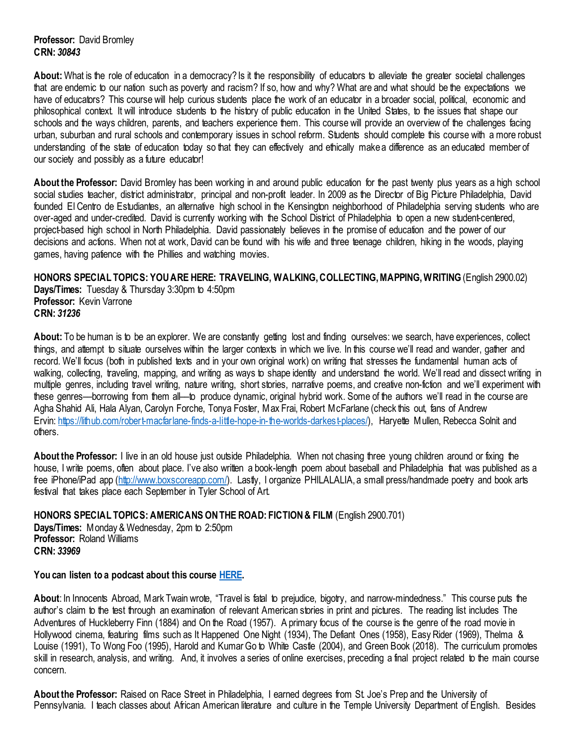**Professor:** David Bromley **CRN:** *30843*

About: What is the role of education in a democracy? Is it the responsibility of educators to alleviate the greater societal challenges that are endemic to our nation such as poverty and racism? If so, how and why? What are and what should be the expectations we have of educators? This course will help curious students place the work of an educator in a broader social, political, economic and philosophical context. It will introduce students to the history of public education in the United States, to the issues that shape our schools and the ways children, parents, and teachers experience them. This course will provide an overview of the challenges facing urban, suburban and rural schools and contemporary issues in school reform. Students should complete this course with a more robust understanding of the state of education today so that they can effectively and ethically make a difference as an educated member of our society and possibly as a future educator!

**About the Professor:** David Bromley has been working in and around public education for the past twenty plus years as a high school social studies teacher, district administrator, principal and non-profit leader. In 2009 as the Director of Big Picture Philadelphia, David founded El Centro de Estudiantes, an alternative high school in the Kensington neighborhood of Philadelphia serving students who are over-aged and under-credited. David is currently working with the School District of Philadelphia to open a new student-centered, project-based high school in North Philadelphia. David passionately believes in the promise of education and the power of our decisions and actions. When not at work, David can be found with his wife and three teenage children, hiking in the woods, playing games, having patience with the Phillies and watching movies.

<span id="page-10-0"></span>**HONORS SPECIAL TOPICS: YOU ARE HERE: TRAVELING, WALKING, COLLECTING, MAPPING, WRITING**(English 2900.02) **Days/Times:** Tuesday & Thursday 3:30pm to 4:50pm **Professor:** Kevin Varrone **CRN:** *31236*

About: To be human is to be an explorer. We are constantly getting lost and finding ourselves: we search, have experiences, collect things, and attempt to situate ourselves within the larger contexts in which we live. In this course we'll read and wander, gather and record. We'll focus (both in published texts and in your own original work) on writing that stresses the fundamental human acts of walking, collecting, traveling, mapping, and writing as ways to shape identity and understand the world. We'll read and dissect writing in multiple genres, including travel writing, nature writing, short stories, narrative poems, and creative non-fiction and we'll experiment with these genres––borrowing from them all––to produce dynamic, original hybrid work. Some of the authors we'll read in the course are Agha Shahid Ali, Hala Alyan, Carolyn Forche, Tonya Foster, Max Frai, Robert McFarlane (check this out, fans of Andrew Ervin: [https://lithub.com/robert-macfarlane-finds-a-little-hope-in-the-worlds-darkest-places/\),](https://lithub.com/robert-macfarlane-finds-a-little-hope-in-the-worlds-darkest-places/) Haryette Mullen, Rebecca Solnit and others.

**About the Professor:** I live in an old house just outside Philadelphia. When not chasing three young children around or fixing the house, I write poems, often about place. I've also written a book-length poem about baseball and Philadelphia that was published as a free iPhone/iPad app [\(http://www.boxscoreapp.com/\).](http://www.boxscoreapp.com/) Lastly, I organize PHILALALIA, a small press/handmade poetry and book arts festival that takes place each September in Tyler School of Art.

<span id="page-10-1"></span>**HONORS SPECIAL TOPICS: AMERICANS ON THE ROAD: FICTION & FILM** (English 2900.701)

**Days/Times:** Monday & Wednesday, 2pm to 2:50pm **Professor:** Roland Williams **CRN:** *33969*

#### **You can listen to a podcast about this course [HERE.](https://soundcloud.com/templehonors/of-course-23-americans-on-the-road)**

**About**: In Innocents Abroad, Mark Twain wrote, "Travel is fatal to prejudice, bigotry, and narrow-mindedness." This course puts the author's claim to the test through an examination of relevant American stories in print and pictures. The reading list includes The Adventures of Huckleberry Finn (1884) and On the Road (1957). A primary focus of the course is the genre of the road movie in Hollywood cinema, featuring films such as It Happened One Night (1934), The Defiant Ones (1958), Easy Rider (1969), Thelma & Louise (1991), To Wong Foo (1995), Harold and Kumar Go to White Castle (2004), and Green Book (2018). The curriculum promotes skill in research, analysis, and writing. And, it involves a series of online exercises, preceding a final project related to the main course concern.

**About the Professor:** Raised on Race Street in Philadelphia, I earned degrees from St. Joe's Prep and the University of Pennsylvania. I teach classes about African American literature and culture in the Temple University Department of English. Besides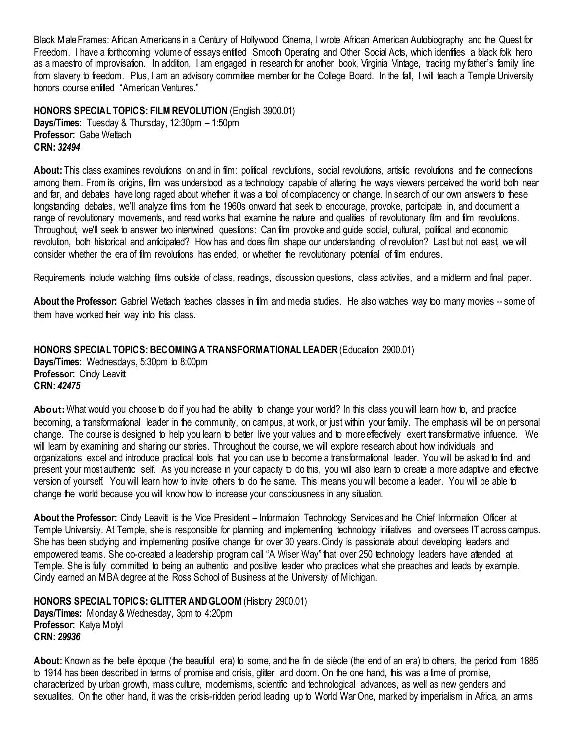Black Male Frames: African Americans in a Century of Hollywood Cinema, I wrote African American Autobiography and the Quest for Freedom. I have a forthcoming volume of essays entitled Smooth Operating and Other Social Acts, which identifies a black folk hero as a maestro of improvisation. In addition, I am engaged in research for another book, Virginia Vintage, tracing my father's family line from slavery to freedom. Plus, I am an advisory committee member for the College Board. In the fall, I will teach a Temple University honors course entitled "American Ventures."

<span id="page-11-0"></span>**HONORS SPECIAL TOPICS: FILM REVOLUTION** (English 3900.01) **Days/Times:** Tuesday & Thursday, 12:30pm – 1:50pm **Professor:** Gabe Wettach **CRN:** *32494*

About: This class examines revolutions on and in film: political revolutions, social revolutions, artistic revolutions and the connections among them. From its origins, film was understood as a technology capable of altering the ways viewers perceived the world both near and far, and debates have long raged about whether it was a tool of complacency or change. In search of our own answers to these longstanding debates, we'll analyze films from the 1960s onward that seek to encourage, provoke, participate in, and document a range of revolutionary movements, and read works that examine the nature and qualities of revolutionary film and film revolutions. Throughout, we'll seek to answer two intertwined questions: Can film provoke and guide social, cultural, political and economic revolution, both historical and anticipated? How has and does film shape our understanding of revolution? Last but not least, we will consider whether the era of film revolutions has ended, or whether the revolutionary potential of film endures.

Requirements include watching films outside of class, readings, discussion questions, class activities, and a midterm and final paper.

**About the Professor:** Gabriel Wettach teaches classes in film and media studies. He also watches way too many movies -- some of them have worked their way into this class.

<span id="page-11-1"></span>**HONORS SPECIAL TOPICS: BECOMING A TRANSFORMATIONAL LEADER** (Education 2900.01) **Days/Times:** Wednesdays, 5:30pm to 8:00pm **Professor: Cindy Leavitt CRN:** *42475*

**About:**What would you choose to do if you had the ability to change your world? In this class you will learn how to, and practice becoming, a transformational leader in the community, on campus, at work, or just within your family. The emphasis will be on personal change. The course is designed to help you learn to better live your values and to more effectively exert transformative influence. We will learn by examining and sharing our stories. Throughout the course, we will explore research about how individuals and organizations excel and introduce practical tools that you can use to become a transformational leader. You will be asked to find and present your most authentic self. As you increase in your capacity to do this, you will also learn to create a more adaptive and effective version of yourself. You will learn how to invite others to do the same. This means you will become a leader. You will be able to change the world because you will know how to increase your consciousness in any situation.

**About the Professor:** Cindy Leavitt is the Vice President – Information Technology Services and the Chief Information Officer at Temple University. At Temple, she is responsible for planning and implementing technology initiatives and oversees IT across campus. She has been studying and implementing positive change for over 30 years. Cindy is passionate about developing leaders and empowered teams. She co-created a leadership program call "A Wiser Way" that over 250 technology leaders have attended at Temple. She is fully committed to being an authentic and positive leader who practices what she preaches and leads by example. Cindy earned an MBA degree at the Ross School of Business at the University of Michigan.

<span id="page-11-2"></span>**HONORS SPECIAL TOPICS: GLITTER AND GLOOM** (History 2900.01) **Days/Times:** Monday & Wednesday, 3pm to 4:20pm **Professor:** Katya Motyl **CRN:** *29936*

**About:** Known as the belle èpoque (the beautiful era) to some, and the fin de siècle (the end of an era) to others, the period from 1885 to 1914 has been described in terms of promise and crisis, glitter and doom. On the one hand, this was a time of promise, characterized by urban growth, mass culture, modernisms, scientific and technological advances, as well as new genders and sexualities. On the other hand, it was the crisis-ridden period leading up to World War One, marked by imperialism in Africa, an arms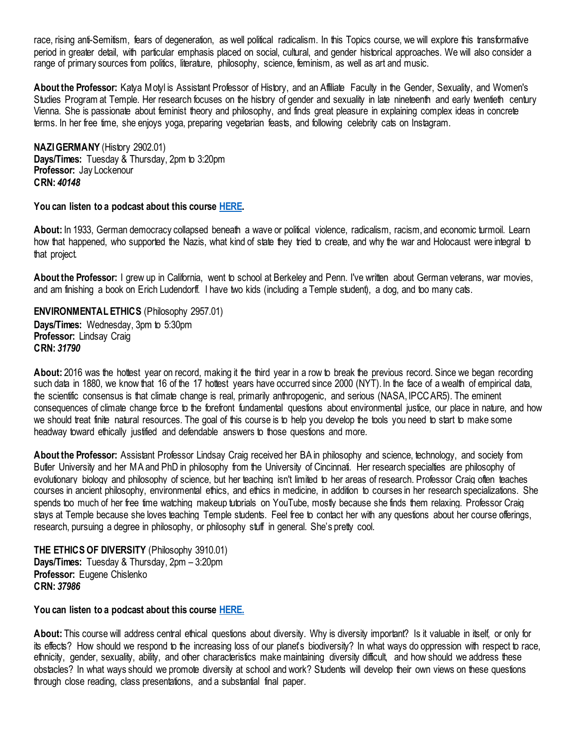race, rising anti-Semitism, fears of degeneration, as well political radicalism. In this Topics course, we will explore this transformative period in greater detail, with particular emphasis placed on social, cultural, and gender historical approaches. We will also consider a range of primary sources from politics, literature, philosophy, science, feminism, as well as art and music.

About the Professor: Katya Motyl is Assistant Professor of History, and an Affiliate Faculty in the Gender, Sexuality, and Women's Studies Program at Temple. Her research focuses on the history of gender and sexuality in late nineteenth and early twentieth century Vienna. She is passionate about feminist theory and philosophy, and finds great pleasure in explaining complex ideas in concrete terms. In her free time, she enjoys yoga, preparing vegetarian feasts, and following celebrity cats on Instagram.

<span id="page-12-0"></span>**NAZI GERMANY** (History 2902.01) **Days/Times: Tuesday & Thursday, 2pm to 3:20pm Professor:** Jay Lockenour **CRN:** *40148*

**You can listen to a podcast about this course [HERE.](https://soundcloud.com/templehonors/of-course-21-nazi-germany)** 

**About:** In 1933, German democracy collapsed beneath a wave or political violence, radicalism, racism, and economic turmoil. Learn how that happened, who supported the Nazis, what kind of state they tried to create, and why the war and Holocaust were integral to that project.

**About the Professor:** I grew up in California, went to school at Berkeley and Penn. I've written about German veterans, war movies, and am finishing a book on Erich Ludendorff. I have two kids (including a Temple student), a dog, and too many cats.

<span id="page-12-1"></span>**ENVIRONMENTAL ETHICS** (Philosophy 2957.01) **Days/Times:** Wednesday, 3pm to 5:30pm **Professor:** Lindsay Craig **CRN:** *31790*

**About:** 2016 was the hottest year on record, making it the third year in a row to break the previous record. Since we began recording such data in 1880, we know that 16 of the 17 hottest years have occurred since 2000 (NYT). In the face of a wealth of empirical data, the scientific consensus is that climate change is real, primarily anthropogenic, and serious (NASA, IPCC AR5). The eminent consequences of climate change force to the forefront fundamental questions about environmental justice, our place in nature, and how we should treat finite natural resources. The goal of this course is to help you develop the tools you need to start to make some headway toward ethically justified and defendable answers to those questions and more.

**About the Professor:** Assistant Professor Lindsay Craig received her BA in philosophy and science, technology, and society from Butler University and her MA and PhD in philosophy from the University of Cincinnati. Her research specialties are philosophy of evolutionary biology and philosophy of science, but her teaching isn't limited to her areas of research. Professor Craig often teaches courses in ancient philosophy, environmental ethics, and ethics in medicine, in addition to courses in her research specializations. She spends too much of her free time watching makeup tutorials on YouTube, mostly because she finds them relaxing. Professor Craig stays at Temple because she loves teaching Temple students. Feel free to contact her with any questions about her course offerings, research, pursuing a degree in philosophy, or philosophy stuff in general. She's pretty cool.

<span id="page-12-2"></span>**THE ETHICS OF DIVERSITY** (Philosophy 3910.01) **Days/Times:** Tuesday & Thursday, 2pm – 3:20pm **Professor:** Eugene Chislenko **CRN:** *37986*

**You can listen to a podcast about this course [HERE.](https://soundcloud.com/templehonors/of-course-25-ethics-of-diversity)**

**About:** This course will address central ethical questions about diversity. Why is diversity important? Is it valuable in itself, or only for its effects? How should we respond to the increasing loss of our planet's biodiversity? In what ways do oppression with respect to race, ethnicity, gender, sexuality, ability, and other characteristics make maintaining diversity difficult, and how should we address these obstacles? In what ways should we promote diversity at school and work? Students will develop their own views on these questions through close reading, class presentations, and a substantial final paper.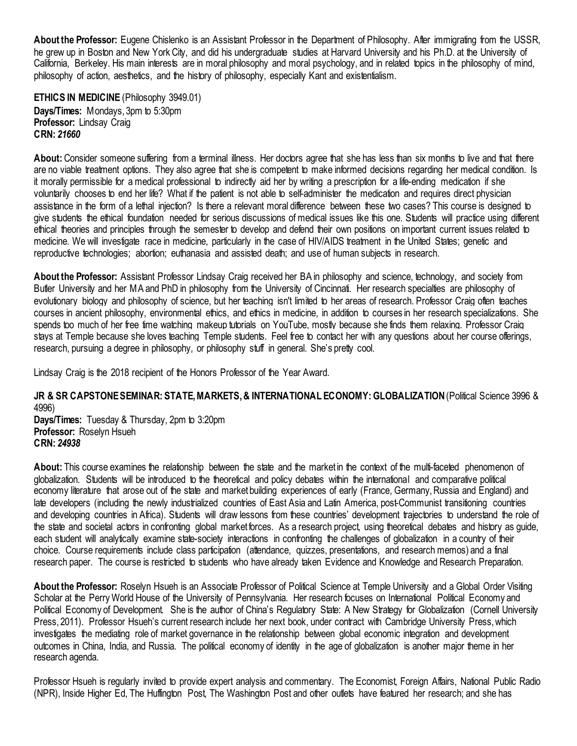**About the Professor:** Eugene Chislenko is an Assistant Professor in the Department of Philosophy. After immigrating from the USSR, he grew up in Boston and New York City, and did his undergraduate studies at Harvard University and his Ph.D. at the University of California, Berkeley. His main interests are in moral philosophy and moral psychology, and in related topics in the philosophy of mind, philosophy of action, aesthetics, and the history of philosophy, especially Kant and existentialism.

<span id="page-13-0"></span>**ETHICS IN MEDICINE** (Philosophy 3949.01) **Days/Times:** Mondays, 3pm to 5:30pm **Professor:** Lindsay Craig **CRN:** *21660*

**About:** Consider someone suffering from a terminal illness. Her doctors agree that she has less than six months to live and that there are no viable treatment options. They also agree that she is competent to make informed decisions regarding her medical condition. Is it morally permissible for a medical professional to indirectly aid her by writing a prescription for a life-ending medication if she voluntarily chooses to end her life? What if the patient is not able to self-administer the medication and requires direct physician assistance in the form of a lethal injection? Is there a relevant moral difference between these two cases? This course is designed to give students the ethical foundation needed for serious discussions of medical issues like this one. Students will practice using different ethical theories and principles through the semester to develop and defend their own positions on important current issues related to medicine. We will investigate race in medicine, particularly in the case of HIV/AIDS treatment in the United States; genetic and reproductive technologies; abortion; euthanasia and assisted death; and use of human subjects in research.

**About the Professor:** Assistant Professor Lindsay Craig received her BA in philosophy and science, technology, and society from Butler University and her MA and PhD in philosophy from the University of Cincinnati. Her research specialties are philosophy of evolutionary biology and philosophy of science, but her teaching isn't limited to her areas of research. Professor Craig often teaches courses in ancient philosophy, environmental ethics, and ethics in medicine, in addition to courses in her research specializations. She spends too much of her free time watching makeup tutorials on YouTube, mostly because she finds them relaxing. Professor Craig stays at Temple because she loves teaching Temple students. Feel free to contact her with any questions about her course offerings, research, pursuing a degree in philosophy, or philosophy stuff in general. She's pretty cool.

Lindsay Craig is the 2018 recipient of the Honors Professor of the Year Award.

#### <span id="page-13-1"></span>**JR & SR CAPSTONE SEMINAR: STATE, MARKETS, & INTERNATIONAL ECONOMY: GLOBALIZATION**(Political Science 3996 & 4996)

**Days/Times:** Tuesday & Thursday, 2pm to 3:20pm **Professor:** Roselyn Hsueh **CRN:** *24938*

**About:** This course examines the relationship between the state and the market in the context of the multi-faceted phenomenon of globalization. Students will be introduced to the theoretical and policy debates within the international and comparative political economy literature that arose out of the state and market building experiences of early (France, Germany, Russia and England) and late developers (including the newly industrialized countries of East Asia and Latin America, post-Communist transitioning countries and developing countries in Africa). Students will draw lessons from these countries' development trajectories to understand the role of the state and societal actors in confronting global market forces. As a research project, using theoretical debates and history as guide, each student will analytically examine state-society interactions in confronting the challenges of globalization in a country of their choice. Course requirements include class participation (attendance, quizzes, presentations, and research memos) and a final research paper. The course is restricted to students who have already taken Evidence and Knowledge and Research Preparation.

**About the Professor:** Roselyn Hsueh is an Associate Professor of Political Science at Temple University and a Global Order Visiting Scholar at the Perry World House of the University of Pennsylvania. Her research focuses on International Political Economy and Political Economy of Development. She is the author of China's Regulatory State: A New Strategy for Globalization (Cornell University Press, 2011). Professor Hsueh's current research include her next book, under contract with Cambridge University Press, which investigates the mediating role of market governance in the relationship between global economic integration and development outcomes in China, India, and Russia. The political economy of identity in the age of globalization is another major theme in her research agenda.

Professor Hsueh is regularly invited to provide expert analysis and commentary. The Economist, Foreign Affairs, National Public Radio (NPR), Inside Higher Ed, The Huffington Post, The Washington Post and other outlets have featured her research; and she has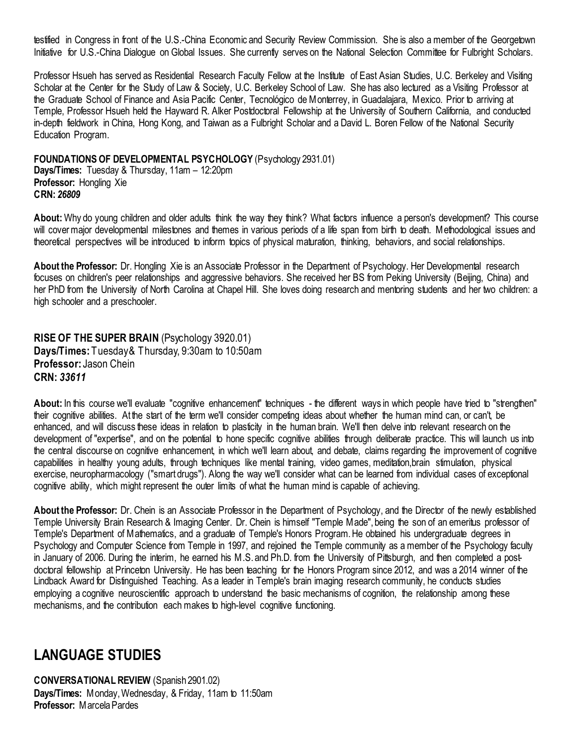testified in Congress in front of the U.S.-China Economic and Security Review Commission. She is also a member of the Georgetown Initiative for U.S.-China Dialogue on Global Issues. She currently serves on the National Selection Committee for Fulbright Scholars.

Professor Hsueh has served as Residential Research Faculty Fellow at the Institute of East Asian Studies, U.C. Berkeley and Visiting Scholar at the Center for the Study of Law & Society, U.C. Berkeley School of Law. She has also lectured as a Visiting Professor at the Graduate School of Finance and Asia Pacific Center, Tecnológico de Monterrey, in Guadalajara, Mexico. Prior to arriving at Temple, Professor Hsueh held the Hayward R. Alker Postdoctoral Fellowship at the University of Southern California, and conducted in-depth fieldwork in China, Hong Kong, and Taiwan as a Fulbright Scholar and a David L. Boren Fellow of the National Security Education Program.

<span id="page-14-0"></span>**FOUNDATIONS OF DEVELOPMENTAL PSYCHOLOGY** (Psychology 2931.01)

**Days/Times:** Tuesday & Thursday, 11am – 12:20pm **Professor:** Hongling Xie **CRN:** *26809*

**About:** Why do young children and older adults think the way they think? What factors influence a person's development? This course will cover major developmental milestones and themes in various periods of a life span from birth to death. Methodological issues and theoretical perspectives will be introduced to inform topics of physical maturation, thinking, behaviors, and social relationships.

**About the Professor:** Dr. Hongling Xie is an Associate Professor in the Department of Psychology. Her Developmental research focuses on children's peer relationships and aggressive behaviors. She received her BS from Peking University (Beijing, China) and her PhD from the University of North Carolina at Chapel Hill. She loves doing research and mentoring students and her two children: a high schooler and a preschooler.

<span id="page-14-1"></span>**RISE OF THE SUPER BRAIN** (Psychology 3920.01) **Days/Times:** Tuesday & Thursday, 9:30am to 10:50am **Professor:** Jason Chein **CRN:** *33611*

About: In this course we'll evaluate "cognitive enhancement" techniques - the different ways in which people have tried to "strengthen" their cognitive abilities. At the start of the term we'll consider competing ideas about whether the human mind can, or can't, be enhanced, and will discuss these ideas in relation to plasticity in the human brain. We'll then delve into relevant research on the development of "expertise", and on the potential to hone specific cognitive abilities through deliberate practice. This will launch us into the central discourse on cognitive enhancement, in which we'll learn about, and debate, claims regarding the improvement of cognitive capabilities in healthy young adults, through techniques like mental training, video games, meditation,brain stimulation, physical exercise, neuropharmacology ("smart drugs"). Along the way we'll consider what can be learned from individual cases of exceptional cognitive ability, which might represent the outer limits of what the human mind is capable of achieving.

**About the Professor:** Dr. Chein is an Associate Professor in the Department of Psychology, and the Director of the newly established Temple University Brain Research & Imaging Center. Dr. Chein is himself "Temple Made", being the son of an emeritus professor of Temple's Department of Mathematics, and a graduate of Temple's Honors Program. He obtained his undergraduate degrees in Psychology and Computer Science from Temple in 1997, and rejoined the Temple community as a member of the Psychology faculty in January of 2006. During the interim, he earned his M.S. and Ph.D. from the University of Pittsburgh, and then completed a postdoctoral fellowship at Princeton University. He has been teaching for the Honors Program since 2012, and was a 2014 winner of the Lindback Award for Distinguished Teaching. As a leader in Temple's brain imaging research community, he conducts studies employing a cognitive neuroscientific approach to understand the basic mechanisms of cognition, the relationship among these mechanisms, and the contribution each makes to high-level cognitive functioning.

### <span id="page-14-2"></span>**LANGUAGE STUDIES**

<span id="page-14-3"></span>**CONVERSATIONAL REVIEW** (Spanish 2901.02) **Days/Times:** Monday, Wednesday, & Friday, 11am to 11:50am **Professor:** Marcela Pardes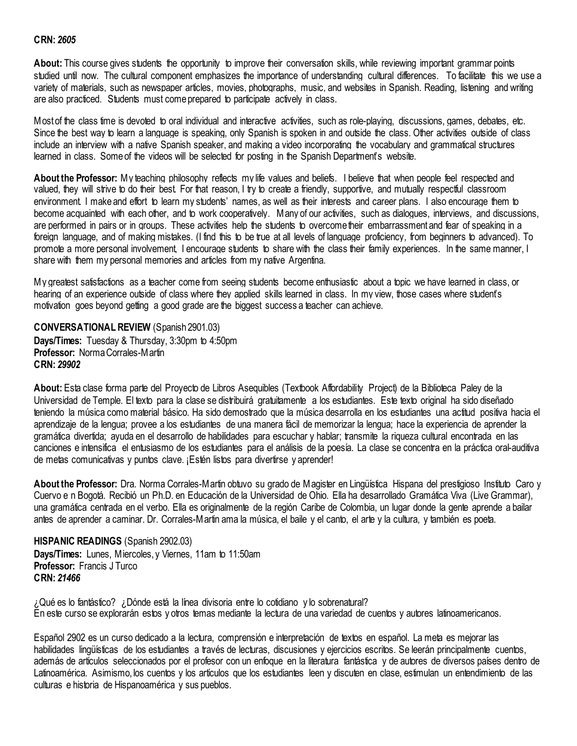#### **CRN:** *2605*

**About:** This course gives students the opportunity to improve their conversation skills, while reviewing important grammar points studied until now. The cultural component emphasizes the importance of understanding cultural differences. To facilitate this we use a variety of materials, such as newspaper articles, movies, photographs, music, and websites in Spanish. Reading, listening and writing are also practiced. Students must come prepared to participate actively in class.

Most of the class time is devoted to oral individual and interactive activities, such as role-playing, discussions, games, debates, etc. Since the best way to learn a language is speaking, only Spanish is spoken in and outside the class. Other activities outside of class include an interview with a native Spanish speaker, and making a video incorporating the vocabulary and grammatical structures learned in class. Some of the videos will be selected for posting in the Spanish Department's website.

**About the Professor:** My teaching philosophy reflects my life values and beliefs. I believe that when people feel respected and valued, they will strive to do their best. For that reason, I try to create a friendly, supportive, and mutually respectful classroom environment. I make and effort to learn my students' names, as well as their interests and career plans. I also encourage them to become acquainted with each other, and to work cooperatively. Many of our activities, such as dialogues, interviews, and discussions, are performed in pairs or in groups. These activities help the students to overcome their embarrassment and fear of speaking in a foreign language, and of making mistakes. (I find this to be true at all levels of language proficiency, from beginners to advanced). To promote a more personal involvement, I encourage students to share with the class their family experiences. In the same manner, I share with them my personal memories and articles from my native Argentina.

My greatest satisfactions as a teacher come from seeing students become enthusiastic about a topic we have learned in class, or hearing of an experience outside of class where they applied skills learned in class. In my view, those cases where student's motivation goes beyond getting a good grade are the biggest success a teacher can achieve.

<span id="page-15-0"></span>**CONVERSATIONAL REVIEW** (Spanish 2901.03) **Days/Times:** Tuesday & Thursday, 3:30pm to 4:50pm **Professor:** Norma Corrales-Martin **CRN:** *29902*

**About:** Esta clase forma parte del Proyecto de Libros Asequibles (Textbook Affordability Project) de la Biblioteca Paley de la Universidad de Temple. El texto para la clase se distribuirá gratuitamente a los estudiantes. Este texto original ha sido diseñado teniendo la música como material básico. Ha sido demostrado que la música desarrolla en los estudiantes una actitud positiva hacia el aprendizaje de la lengua; provee a los estudiantes de una manera fácil de memorizar la lengua; hace la experiencia de aprender la gramática divertida; ayuda en el desarrollo de habilidades para escuchar y hablar; transmite la riqueza cultural encontrada en las canciones e intensifica el entusiasmo de los estudiantes para el análisis de la poesía. La clase se concentra en la práctica oral-auditiva de metas comunicativas y puntos clave. ¡Estén listos para divertirse y aprender!

**About the Professor:** Dra. Norma Corrales-Martin obtuvo su grado de Magister en Lingüística Hispana del prestigioso Instituto Caro y Cuervo e n Bogotá. Recibió un Ph.D. en Educación de la Universidad de Ohio. Ella ha desarrollado Gramática Viva (Live Grammar), una gramática centrada en el verbo. Ella es originalmente de la región Caribe de Colombia, un lugar donde la gente aprende a bailar antes de aprender a caminar. Dr. Corrales-Martin ama la música, el baile y el canto, el arte y la cultura, y también es poeta.

<span id="page-15-1"></span>**HISPANIC READINGS** (Spanish 2902.03) **Days/Times:** Lunes, Miercoles, y Viernes, 11am to 11:50am **Professor:** Francis J Turco **CRN:** *21466*

¿Qué es lo fantástico? ¿Dónde está la línea divisoria entre lo cotidiano y lo sobrenatural? En este curso se explorarán estos y otros temas mediante la lectura de una variedad de cuentos y autores latinoamericanos.

Español 2902 es un curso dedicado a la lectura, comprensión e interpretación de textos en español. La meta es mejorar las habilidades lingüísticas de los estudiantes a través de lecturas, discusiones y ejercicios escritos. Se leerán principalmente cuentos, además de artículos seleccionados por el profesor con un enfoque en la literatura fantástica y de autores de diversos países dentro de Latinoamérica. Asimismo, los cuentos y los artículos que los estudiantes leen y discuten en clase, estimulan un entendimiento de las culturas e historia de Hispanoamérica y sus pueblos.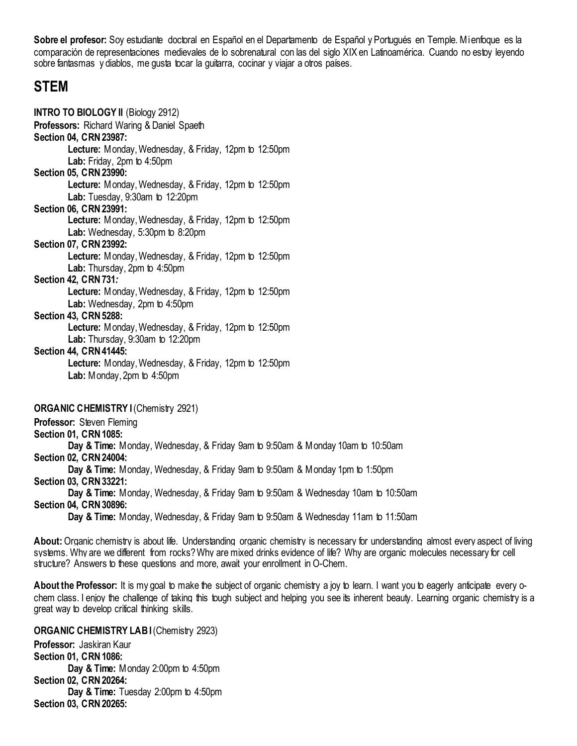**Sobre el profesor:** Soy estudiante doctoral en Español en el Departamento de Español y Portugués en Temple. Mi enfoque es la comparación de representaciones medievales de lo sobrenatural con las del siglo XIX en Latinoamérica. Cuando no estoy leyendo sobre fantasmas y diablos, me gusta tocar la guitarra, cocinar y viajar a otros países.

### <span id="page-16-0"></span>**STEM**

<span id="page-16-1"></span>

| <b>INTRO TO BIOLOGY II</b> (Biology 2912)                    |
|--------------------------------------------------------------|
| <b>Professors: Richard Waring &amp; Daniel Spaeth</b>        |
| <b>Section 04, CRN 23987:</b>                                |
| <b>Lecture:</b> Monday, Wednesday, & Friday, 12pm to 12:50pm |
| Lab: Friday, 2pm to 4:50pm                                   |
| Section 05, CRN 23990:                                       |
| Lecture: Monday, Wednesday, & Friday, 12pm to 12:50pm        |
| Lab: Tuesday, 9:30am to 12:20pm                              |
| Section 06, CRN 23991:                                       |
| Lecture: Monday, Wednesday, & Friday, 12pm to 12:50pm        |
| Lab: Wednesday, 5:30pm to 8:20pm                             |
| Section 07, CRN 23992:                                       |
| <b>Lecture:</b> Monday, Wednesday, & Friday, 12pm to 12:50pm |
| Lab: Thursday, 2pm to 4:50pm                                 |
| Section 42, CRN 731:                                         |
| Lecture: Monday, Wednesday, & Friday, 12pm to 12:50pm        |
| Lab: Wednesday, 2pm to 4:50pm                                |
| <b>Section 43, CRN 5288:</b>                                 |
| <b>Lecture:</b> Monday, Wednesday, & Friday, 12pm to 12:50pm |
| <b>Lab:</b> Thursday, $9:30$ am to $12:20$ pm                |
| Section 44, CRN 41445:                                       |
| Lecture: Monday, Wednesday, & Friday, 12pm to 12:50pm        |
| <b>Lab:</b> Monday, 2pm to $4:50$ pm                         |
|                                                              |
| <b>ORGANIC CHEMISTRY I</b> (Chemistry 2921)                  |
| Professor: Steven Fleming                                    |

<span id="page-16-2"></span>**Section 01, CRN 1085:**

**Day & Time:** Monday, Wednesday, & Friday 9am to 9:50am & Monday 10am to 10:50am

**Section 02, CRN 24004:**

**Day & Time:** Monday, Wednesday, & Friday 9am to 9:50am & Monday 1pm to 1:50pm **Section 03, CRN 33221:**

**Day & Time:** Monday, Wednesday, & Friday 9am to 9:50am & Wednesday 10am to 10:50am **Section 04, CRN 30896:**

**Day & Time:** Monday, Wednesday, & Friday 9am to 9:50am & Wednesday 11am to 11:50am

**About:**Organic chemistry is about life. Understanding organic chemistry is necessary for understanding almost every aspect of living systems. Why are we different from rocks? Why are mixed drinks evidence of life? Why are organic molecules necessary for cell structure? Answers to these questions and more, await your enrollment in O-Chem.

**About the Professor:** It is my goal to make the subject of organic chemistry a joy to learn. I want you to eagerly anticipate every ochem class. I enjoy the challenge of taking this tough subject and helping you see its inherent beauty. Learning organic chemistry is a great way to develop critical thinking skills.

<span id="page-16-3"></span>**ORGANIC CHEMISTRY LABI** (Chemistry 2923) **Professor:** Jaskiran Kaur **Section 01, CRN 1086: Day & Time:** Monday 2:00pm to 4:50pm **Section 02, CRN 20264: Day & Time:** Tuesday 2:00pm to 4:50pm **Section 03, CRN 20265:**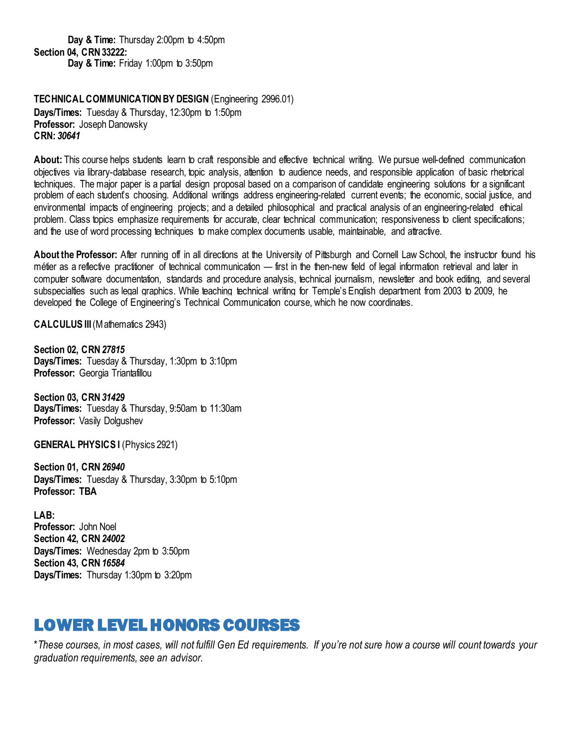**Day & Time:** Thursday 2:00pm to 4:50pm **Section 04, CRN 33222: Day & Time:** Friday 1:00pm to 3:50pm

<span id="page-17-0"></span>**TECHNICAL COMMUNICATION BY DESIGN** (Engineering 2996.01) **Days/Times:** Tuesday & Thursday, 12:30pm to 1:50pm **Professor:** Joseph Danowsky **CRN:** *30641*

**About:** This course helps students learn to craft responsible and effective technical writing. We pursue well-defined communication objectives via library-database research, topic analysis, attention to audience needs, and responsible application of basic rhetorical techniques. The major paper is a partial design proposal based on a comparison of candidate engineering solutions for a significant problem of each student's choosing. Additional writings address engineering-related current events; the economic, social justice, and environmental impacts of engineering projects; and a detailed philosophical and practical analysis of an engineering-related ethical problem. Class topics emphasize requirements for accurate, clear technical communication; responsiveness to client specifications; and the use of word processing techniques to make complex documents usable, maintainable, and attractive.

**About the Professor:** After running off in all directions at the University of Pittsburgh and Cornell Law School, the instructor found his métier as a reflective practitioner of technical communication — first in the then-new field of legal information retrieval and later in computer software documentation, standards and procedure analysis, technical journalism, newsletter and book editing, and several subspecialties such as legal graphics. While teaching technical writing for Temple's English department from 2003 to 2009, he developed the College of Engineering's Technical Communication course, which he now coordinates.

<span id="page-17-1"></span>**CALCULUS III** (Mathematics 2943)

**Section 02, CRN** *27815* **Days/Times:** Tuesday & Thursday, 1:30pm to 3:10pm **Professor:** Georgia Triantafillou

**Section 03, CRN** *31429* **Days/Times:** Tuesday & Thursday, 9:50am to 11:30am **Professor:** Vasily Dolgushev

**GENERAL PHYSICS I** (Physics 2921)

**Section 01, CRN** *26940* **Days/Times:** Tuesday & Thursday, 3:30pm to 5:10pm **Professor: TBA**

**LAB: Professor:** John Noel **Section 42, CRN** *24002* **Days/Times:** Wednesday 2pm to 3:50pm **Section 43, CRN** *16584* **Days/Times:** Thursday 1:30pm to 3:20pm

# <span id="page-17-2"></span>LOWER LEVEL HONORS COURSES

\**These courses, in most cases, will not fulfill Gen Ed requirements. If you're not sure how a course will count towards your graduation requirements, see an advisor.*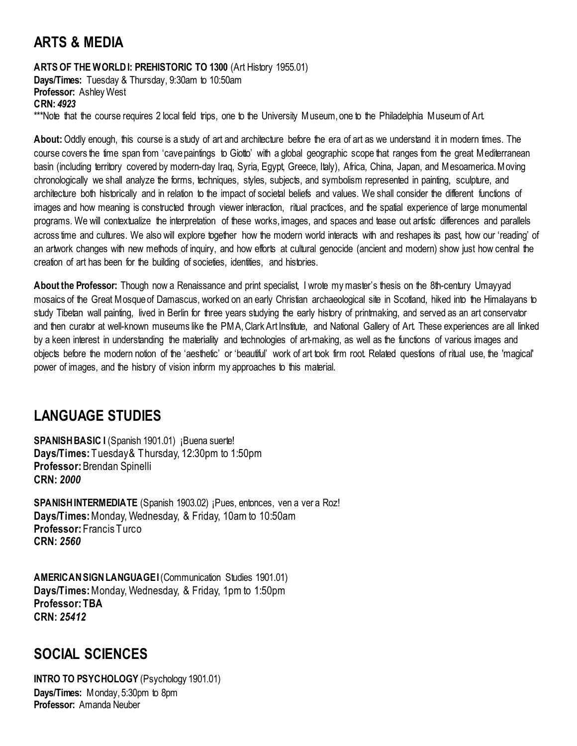# <span id="page-18-0"></span>**ARTS & MEDIA**

#### <span id="page-18-1"></span>**ARTS OF THE WORLD I: PREHISTORIC TO 1300** (Art History 1955.01)

**Days/Times:** Tuesday & Thursday, 9:30am to 10:50am **Professor:** Ashley West **CRN:** *4923* \*\*\*Note that the course requires 2 local field trips, one to the University Museum, one to the Philadelphia Museum of Art.

**About:** Oddly enough, this course is a study of art and architecture before the era of art as we understand it in modern times. The course covers the time span from 'cave paintings to Giotto' with a global geographic scope that ranges from the great Mediterranean basin (including territory covered by modern-day Iraq, Syria, Egypt, Greece, Italy), Africa, China, Japan, and Mesoamerica. Moving chronologically we shall analyze the forms, techniques, styles, subjects, and symbolism represented in painting, sculpture, and architecture both historically and in relation to the impact of societal beliefs and values. We shall consider the different functions of images and how meaning is constructed through viewer interaction, ritual practices, and the spatial experience of large monumental programs. We will contextualize the interpretation of these works, images, and spaces and tease out artistic differences and parallels across time and cultures. We also will explore together how the modern world interacts with and reshapes its past, how our 'reading' of an artwork changes with new methods of inquiry, and how efforts at cultural genocide (ancient and modern) show just how central the creation of art has been for the building of societies, identities, and histories.

**About the Professor:** Though now a Renaissance and print specialist, I wrote my master's thesis on the 8th-century Umayyad mosaics of the Great Mosque of Damascus, worked on an early Christian archaeological site in Scotland, hiked into the Himalayans to study Tibetan wall painting, lived in Berlin for three years studying the early history of printmaking, and served as an art conservator and then curator at well-known museums like the PMA, Clark Art Institute, and National Gallery of Art. These experiences are all linked by a keen interest in understanding the materiality and technologies of art-making, as well as the functions of various images and objects before the modern notion of the 'aesthetic' or 'beautiful' work of art took firm root. Related questions of ritual use, the 'magical' power of images, and the history of vision inform my approaches to this material.

## <span id="page-18-2"></span>**LANGUAGE STUDIES**

<span id="page-18-3"></span>**SPANISH BASIC I** (Spanish 1901.01) ¡Buena suerte! **Days/Times:** Tuesday & Thursday, 12:30pm to 1:50pm **Professor:** Brendan Spinelli **CRN:** *2000*

<span id="page-18-4"></span>**SPANISH INTERMEDIATE** (Spanish 1903.02) ¡Pues, entonces, ven a ver a Roz! **Days/Times:** Monday, Wednesday, & Friday, 10am to 10:50am **Professor:** Francis Turco **CRN:** *2560*

<span id="page-18-5"></span>**AMERICAN SIGN LANGUAGE I**(Communication Studies 1901.01) **Days/Times:** Monday, Wednesday, & Friday, 1pm to 1:50pm **Professor: TBA CRN:** *25412*

### <span id="page-18-6"></span>**SOCIAL SCIENCES**

<span id="page-18-7"></span>**INTRO TO PSYCHOLOGY** (Psychology 1901.01) **Days/Times:** Monday, 5:30pm to 8pm **Professor:** Amanda Neuber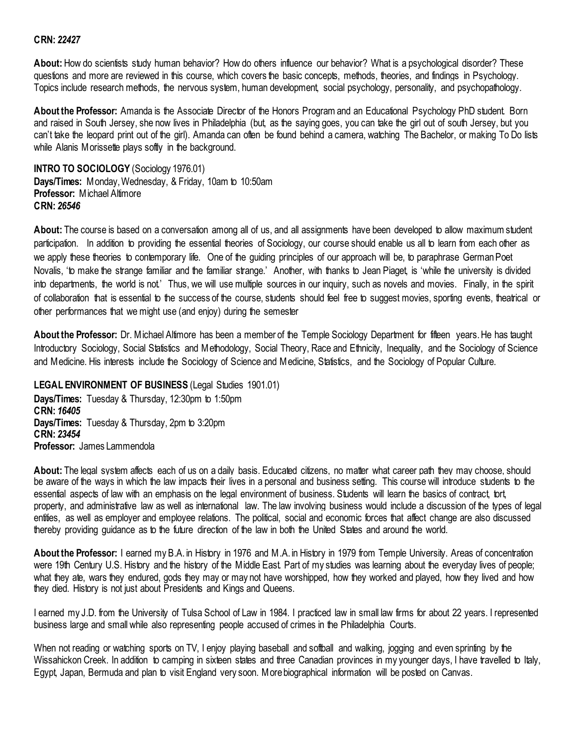#### **CRN:** *22427*

**About:** How do scientists study human behavior? How do others influence our behavior? What is a psychological disorder? These questions and more are reviewed in this course, which covers the basic concepts, methods, theories, and findings in Psychology. Topics include research methods, the nervous system, human development, social psychology, personality, and psychopathology.

**About the Professor:** Amanda is the Associate Director of the Honors Program and an Educational Psychology PhD student. Born and raised in South Jersey, she now lives in Philadelphia (but, as the saying goes, you can take the girl out of south Jersey, but you can't take the leopard print out of the girl). Amanda can often be found behind a camera, watching The Bachelor, or making To Do lists while Alanis Morissette plays softly in the background.

<span id="page-19-0"></span>**INTRO TO SOCIOLOGY** (Sociology 1976.01) **Days/Times:** Monday, Wednesday, & Friday, 10am to 10:50am **Professor:** Michael Altimore **CRN:** *26546*

**About:** The course is based on a conversation among all of us, and all assignments have been developed to allow maximum student participation. In addition to providing the essential theories of Sociology, our course should enable us all to learn from each other as we apply these theories to contemporary life. One of the guiding principles of our approach will be, to paraphrase German Poet Novalis, 'to make the strange familiar and the familiar strange.' Another, with thanks to Jean Piaget, is 'while the university is divided into departments, the world is not.' Thus, we will use multiple sources in our inquiry, such as novels and movies. Finally, in the spirit of collaboration that is essential to the success of the course, students should feel free to suggest movies, sporting events, theatrical or other performances that we might use (and enjoy) during the semester

**About the Professor:** Dr. Michael Altimore has been a member of the Temple Sociology Department for fifteen years. He has taught Introductory Sociology, Social Statistics and Methodology, Social Theory, Race and Ethnicity, Inequality, and the Sociology of Science and Medicine. His interests include the Sociology of Science and Medicine, Statistics, and the Sociology of Popular Culture.

#### <span id="page-19-1"></span>**LEGAL ENVIRONMENT OF BUSINESS** (Legal Studies 1901.01)

**Days/Times:** Tuesday & Thursday, 12:30pm to 1:50pm **CRN:** *16405*  **Days/Times:** Tuesday & Thursday, 2pm to 3:20pm **CRN:** *23454* **Professor:** James Lammendola

**About:** The legal system affects each of us on a daily basis. Educated citizens, no matter what career path they may choose, should be aware of the ways in which the law impacts their lives in a personal and business setting. This course will introduce students to the essential aspects of law with an emphasis on the legal environment of business. Students will learn the basics of contract, tort, property, and administrative law as well as international law. The law involving business would include a discussion of the types of legal entities, as well as employer and employee relations. The political, social and economic forces that affect change are also discussed thereby providing guidance as to the future direction of the law in both the United States and around the world.

**About the Professor:** I earned my B.A. in History in 1976 and M.A. in History in 1979 from Temple University. Areas of concentration were 19th Century U.S. History and the history of the Middle East. Part of my studies was learning about the everyday lives of people; what they ate, wars they endured, gods they may or may not have worshipped, how they worked and played, how they lived and how they died. History is not just about Presidents and Kings and Queens.

I earned my J.D. from the University of Tulsa School of Law in 1984. I practiced law in small law firms for about 22 years. I represented business large and small while also representing people accused of crimes in the Philadelphia Courts.

When not reading or watching sports on TV, I enjoy playing baseball and softball and walking, jogging and even sprinting by the Wissahickon Creek. In addition to camping in sixteen states and three Canadian provinces in my younger days, I have travelled to Italy, Egypt, Japan, Bermuda and plan to visit England very soon. More biographical information will be posted on Canvas.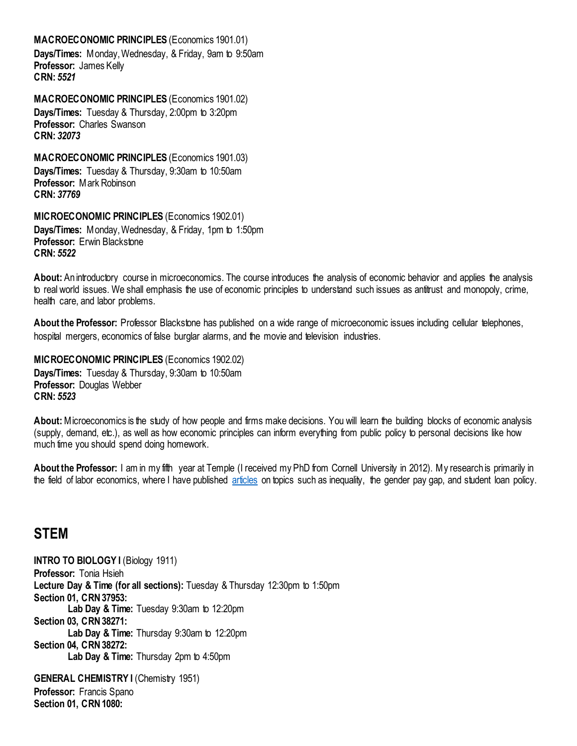#### <span id="page-20-0"></span>**MACROECONOMIC PRINCIPLES** (Economics 1901.01)

**Days/Times:** Monday, Wednesday, & Friday, 9am to 9:50am **Professor:** James Kelly **CRN:** *5521*

<span id="page-20-1"></span>**MACROECONOMIC PRINCIPLES** (Economics 1901.02) **Days/Times:** Tuesday & Thursday, 2:00pm to 3:20pm **Professor:** Charles Swanson **CRN:** *32073*

<span id="page-20-2"></span>**MACROECONOMIC PRINCIPLES** (Economics 1901.03) **Days/Times:** Tuesday & Thursday, 9:30am to 10:50am **Professor:** Mark Robinson **CRN:** *37769*

<span id="page-20-3"></span>**MICROECONOMIC PRINCIPLES** (Economics 1902.01)

**Days/Times:** Monday, Wednesday, & Friday, 1pm to 1:50pm **Professor:** Erwin Blackstone **CRN:** *5522*

**About:** An introductory course in microeconomics. The course introduces the analysis of economic behavior and applies the analysis to real world issues. We shall emphasis the use of economic principles to understand such issues as antitrust and monopoly, crime, health care, and labor problems.

**About the Professor:** Professor Blackstone has published on a wide range of microeconomic issues including cellular telephones, hospital mergers, economics of false burglar alarms, and the movie and television industries.

<span id="page-20-4"></span>**MICROECONOMIC PRINCIPLES** (Economics 1902.02) **Days/Times:** Tuesday & Thursday, 9:30am to 10:50am **Professor:** Douglas Webber **CRN:** *5523*

**About:** Microeconomics is the study of how people and firms make decisions. You will learn the building blocks of economic analysis (supply, demand, etc.), as well as how economic principles can inform everything from public policy to personal decisions like how much time you should spend doing homework.

**About the Professor:** I am in my fifth year at Temple (I received my PhD from Cornell University in 2012). My research is primarily in the field of labor economics, where I have published [articles](https://www.philly.com/education/temple-professor-failure-success-resume-20190112.html) on topics such as inequality, the gender pay gap, and student loan policy.

### <span id="page-20-5"></span>**STEM**

<span id="page-20-6"></span>**INTRO TO BIOLOGY I** (Biology 1911) **Professor:** Tonia Hsieh **Lecture Day & Time (for all sections):** Tuesday & Thursday 12:30pm to 1:50pm **Section 01, CRN 37953: Lab Day & Time:** Tuesday 9:30am to 12:20pm **Section 03, CRN 38271: Lab Day & Time:** Thursday 9:30am to 12:20pm **Section 04, CRN 38272: Lab Day & Time:** Thursday 2pm to 4:50pm **GENERAL CHEMISTRY I (Chemistry 1951)** 

<span id="page-20-7"></span>**Professor:** Francis Spano **Section 01, CRN 1080:**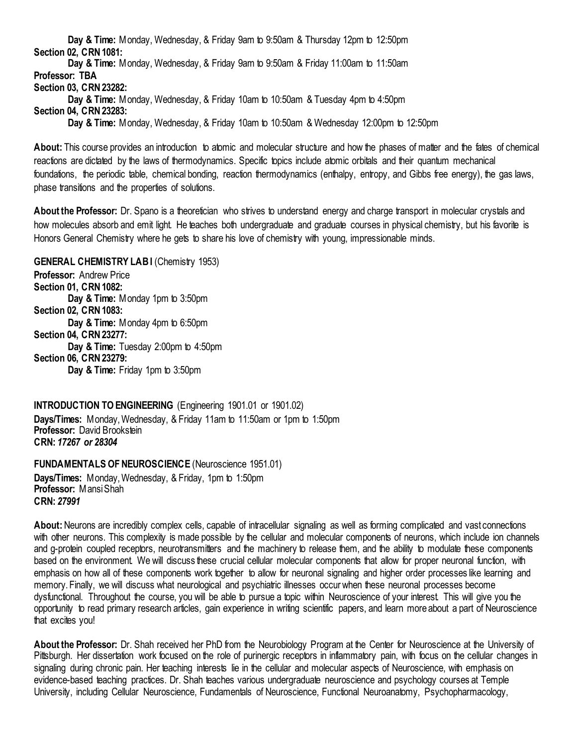**Day & Time:** Monday, Wednesday, & Friday 9am to 9:50am & Thursday 12pm to 12:50pm **Section 02, CRN 1081:**

**Day & Time:** Monday, Wednesday, & Friday 9am to 9:50am & Friday 11:00am to 11:50am **Professor: TBA Section 03, CRN 23282:**

**Day & Time:** Monday, Wednesday, & Friday 10am to 10:50am & Tuesday 4pm to 4:50pm

**Section 04, CRN 23283:**

**Day & Time:** Monday, Wednesday, & Friday 10am to 10:50am & Wednesday 12:00pm to 12:50pm

**About:** This course provides an introduction to atomic and molecular structure and how the phases of matter and the fates of chemical reactions are dictated by the laws of thermodynamics. Specific topics include atomic orbitals and their quantum mechanical foundations, the periodic table, chemical bonding, reaction thermodynamics (enthalpy, entropy, and Gibbs free energy), the gas laws, phase transitions and the properties of solutions.

**About the Professor:** Dr. Spano is a theoretician who strives to understand energy and charge transport in molecular crystals and how molecules absorb and emit light. He teaches both undergraduate and graduate courses in physical chemistry, but his favorite is Honors General Chemistry where he gets to share his love of chemistry with young, impressionable minds.

<span id="page-21-0"></span>**GENERAL CHEMISTRY LABI (Chemistry 1953) Professor:** Andrew Price

**Section 01, CRN 1082: Day & Time:** Monday 1pm to 3:50pm **Section 02, CRN 1083: Day & Time:** Monday 4pm to 6:50pm **Section 04, CRN 23277: Day & Time:** Tuesday 2:00pm to 4:50pm **Section 06, CRN 23279: Day & Time:** Friday 1pm to 3:50pm

<span id="page-21-1"></span>**INTRODUCTION TO ENGINEERING** (Engineering 1901.01 or 1901.02) **Days/Times:** Monday, Wednesday, & Friday 11am to 11:50am or 1pm to 1:50pm **Professor:** David Brookstein **CRN:** *17267 or 28304*

<span id="page-21-2"></span>**FUNDAMENTALS OF NEUROSCIENCE** (Neuroscience 1951.01)

**Days/Times:** Monday, Wednesday, & Friday, 1pm to 1:50pm **Professor:** Mansi Shah **CRN:** *27991*

**About:** Neurons are incredibly complex cells, capable of intracellular signaling as well as forming complicated and vast connections with other neurons. This complexity is made possible by the cellular and molecular components of neurons, which include ion channels and g-protein coupled receptors, neurotransmitters and the machinery to release them, and the ability to modulate these components based on the environment. We will discuss these crucial cellular molecular components that allow for proper neuronal function, with emphasis on how all of these components work together to allow for neuronal signaling and higher order processes like learning and memory. Finally, we will discuss what neurological and psychiatric illnesses occur when these neuronal processes become dysfunctional. Throughout the course, you will be able to pursue a topic within Neuroscience of your interest. This will give you the opportunity to read primary research articles, gain experience in writing scientific papers, and learn more about a part of Neuroscience that excites you!

**About the Professor:** Dr. Shah received her PhD from the Neurobiology Program at the Center for Neuroscience at the University of Pittsburgh. Her dissertation work focused on the role of purinergic receptors in inflammatory pain, with focus on the cellular changes in signaling during chronic pain. Her teaching interests lie in the cellular and molecular aspects of Neuroscience, with emphasis on evidence-based teaching practices. Dr. Shah teaches various undergraduate neuroscience and psychology courses at Temple University, including Cellular Neuroscience, Fundamentals of Neuroscience, Functional Neuroanatomy, Psychopharmacology,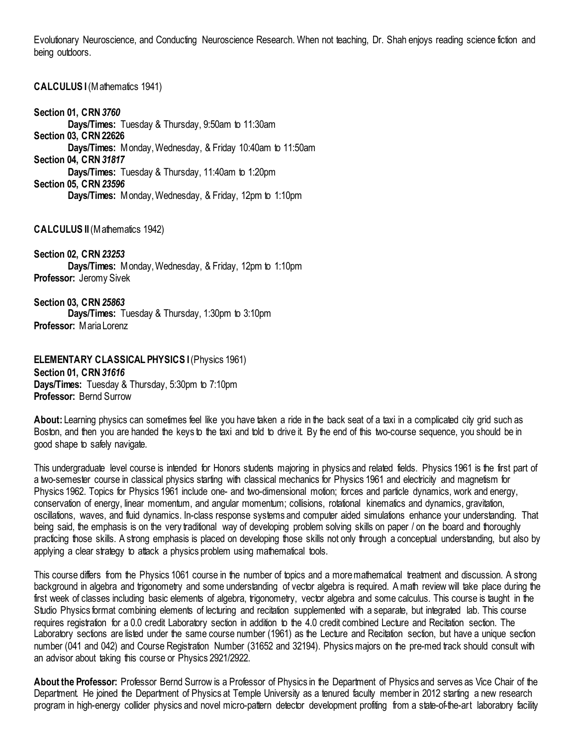Evolutionary Neuroscience, and Conducting Neuroscience Research. When not teaching, Dr. Shah enjoys reading science fiction and being outdoors.

#### <span id="page-22-0"></span>**CALCULUS I** (Mathematics 1941)

**Section 01, CRN** *3760* **Days/Times:** Tuesday & Thursday, 9:50am to 11:30am **Section 03, CRN 22626 Days/Times:** Monday, Wednesday, & Friday 10:40am to 11:50am **Section 04, CRN** *31817* **Days/Times:** Tuesday & Thursday, 11:40am to 1:20pm **Section 05, CRN** *23596* **Days/Times:** Monday, Wednesday, & Friday, 12pm to 1:10pm

#### <span id="page-22-1"></span>**CALCULUS II** (Mathematics 1942)

**Section 02, CRN** *23253* **Days/Times:** Monday, Wednesday, & Friday, 12pm to 1:10pm **Professor:** Jeromy Sivek

**Section 03, CRN** *25863* **Days/Times:** Tuesday & Thursday, 1:30pm to 3:10pm **Professor:** Maria Lorenz

<span id="page-22-2"></span>**ELEMENTARY CLASSICAL PHYSICS I (Physics 1961) Section 01, CRN** *31616* **Days/Times:** Tuesday & Thursday, 5:30pm to 7:10pm **Professor:** Bernd Surrow

About: Learning physics can sometimes feel like you have taken a ride in the back seat of a taxi in a complicated city grid such as Boston, and then you are handed the keys to the taxi and told to drive it. By the end of this two-course sequence, you should be in good shape to safely navigate.

This undergraduate level course is intended for Honors students majoring in physics and related fields. Physics 1961 is the first part of a two-semester course in classical physics starting with classical mechanics for Physics 1961 and electricity and magnetism for Physics 1962. Topics for Physics 1961 include one- and two-dimensional motion; forces and particle dynamics, work and energy, conservation of energy, linear momentum, and angular momentum; collisions, rotational kinematics and dynamics, gravitation, oscillations, waves, and fluid dynamics. In-class response systems and computer aided simulations enhance your understanding. That being said, the emphasis is on the very traditional way of developing problem solving skills on paper / on the board and thoroughly practicing those skills. A strong emphasis is placed on developing those skills not only through a conceptual understanding, but also by applying a clear strategy to attack a physics problem using mathematical tools.

This course differs from the Physics 1061 course in the number of topics and a more mathematical treatment and discussion. A strong background in algebra and trigonometry and some understanding of vector algebra is required. A math review will take place during the first week of classes including basic elements of algebra, trigonometry, vector algebra and some calculus. This course is taught in the Studio Physics format combining elements of lecturing and recitation supplemented with a separate, but integrated lab. This course requires registration for a 0.0 credit Laboratory section in addition to the 4.0 credit combined Lecture and Recitation section. The Laboratory sections are listed under the same course number (1961) as the Lecture and Recitation section, but have a unique section number (041 and 042) and Course Registration Number (31652 and 32194). Physics majors on the pre-med track should consult with an advisor about taking this course or Physics 2921/2922.

**About the Professor:** Professor Bernd Surrow is a Professor of Physics in the Department of Physics and serves as Vice Chair of the Department. He joined the Department of Physics at Temple University as a tenured faculty member in 2012 starting a new research program in high-energy collider physics and novel micro-pattern detector development profiting from a state-of-the-art laboratory facility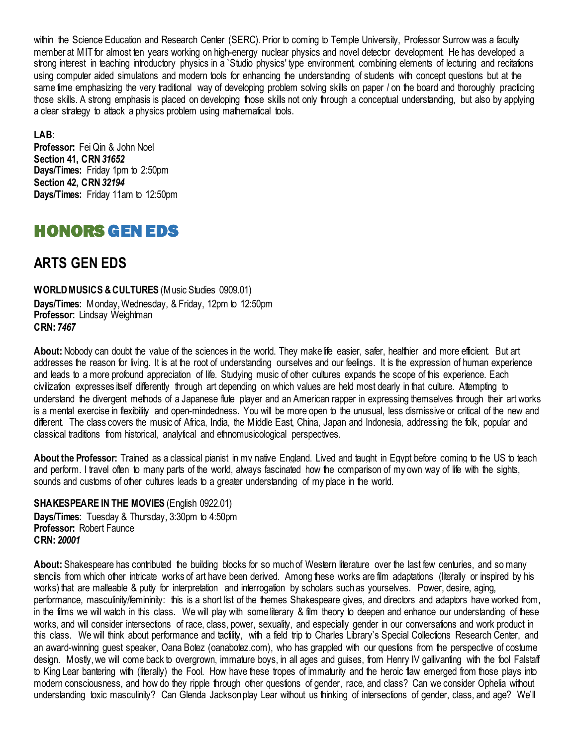within the Science Education and Research Center (SERC). Prior to coming to Temple University, Professor Surrow was a faculty member at MIT for almost ten years working on high-energy nuclear physics and novel detector development. He has developed a strong interest in teaching introductory physics in a `Studio physics' type environment, combining elements of lecturing and recitations using computer aided simulations and modern tools for enhancing the understanding of students with concept questions but at the same time emphasizing the very traditional way of developing problem solving skills on paper / on the board and thoroughly practicing those skills. A strong emphasis is placed on developing those skills not only through a conceptual understanding, but also by applying a clear strategy to attack a physics problem using mathematical tools.

**LAB: Professor:** Fei Qin & John Noel **Section 41, CRN** *31652* **Days/Times:** Friday 1pm to 2:50pm **Section 42, CRN** *32194* **Days/Times:** Friday 11am to 12:50pm

# <span id="page-23-0"></span>HONORS GEN EDS

## <span id="page-23-1"></span>**ARTS GEN EDS**

<span id="page-23-2"></span>**WORLD MUSICS & CULTURES** (Music Studies 0909.01) **Days/Times:** Monday, Wednesday, & Friday, 12pm to 12:50pm **Professor:** Lindsay Weightman **CRN:** *7467*

**About:** Nobody can doubt the value of the sciences in the world. They make life easier, safer, healthier and more efficient. But art addresses the reason for living. It is at the root of understanding ourselves and our feelings. It is the expression of human experience and leads to a more profound appreciation of life. Studying music of other cultures expands the scope of this experience. Each civilization expresses itself differently through art depending on which values are held most dearly in that culture. Attempting to understand the divergent methods of a Japanese flute player and an American rapper in expressing themselves through their art works is a mental exercise in flexibility and open-mindedness. You will be more open to the unusual, less dismissive or critical of the new and different. The class covers the music of Africa, India, the Middle East, China, Japan and Indonesia, addressing the folk, popular and classical traditions from historical, analytical and ethnomusicological perspectives.

**About the Professor:** Trained as a classical pianist in my native England. Lived and taught in Egypt before coming to the US to teach and perform. I travel often to many parts of the world, always fascinated how the comparison of my own way of life with the sights, sounds and customs of other cultures leads to a greater understanding of my place in the world.

<span id="page-23-3"></span>**SHAKESPEARE IN THE MOVIES** (English 0922.01) **Days/Times:** Tuesday & Thursday, 3:30pm to 4:50pm **Professor:** Robert Faunce **CRN:** *20001*

**About:** Shakespeare has contributed the building blocks for so much of Western literature over the last few centuries, and so many stencils from which other intricate works of art have been derived. Among these works are film adaptations (literally or inspired by his works) that are malleable & putty for interpretation and interrogation by scholars such as yourselves. Power, desire, aging, performance, masculinity/femininity: this is a short list of the themes Shakespeare gives, and directors and adaptors have worked from, in the films we will watch in this class. We will play with some literary & film theory to deepen and enhance our understanding of these works, and will consider intersections of race, class, power, sexuality, and especially gender in our conversations and work product in this class. We will think about performance and tactility, with a field trip to Charles Library's Special Collections Research Center, and an award-winning guest speaker, Oana Botez (oanabotez.com), who has grappled with our questions from the perspective of costume design. Mostly, we will come back to overgrown, immature boys, in all ages and guises, from Henry IV gallivanting with the fool Falstaff to King Lear bantering with (literally) the Fool. How have these tropes of immaturity and the heroic flaw emerged from those plays into modern consciousness, and how do they ripple through other questions of gender, race, and class? Can we consider Ophelia without understanding toxic masculinity? Can Glenda Jackson play Lear without us thinking of intersections of gender, class, and age? We'll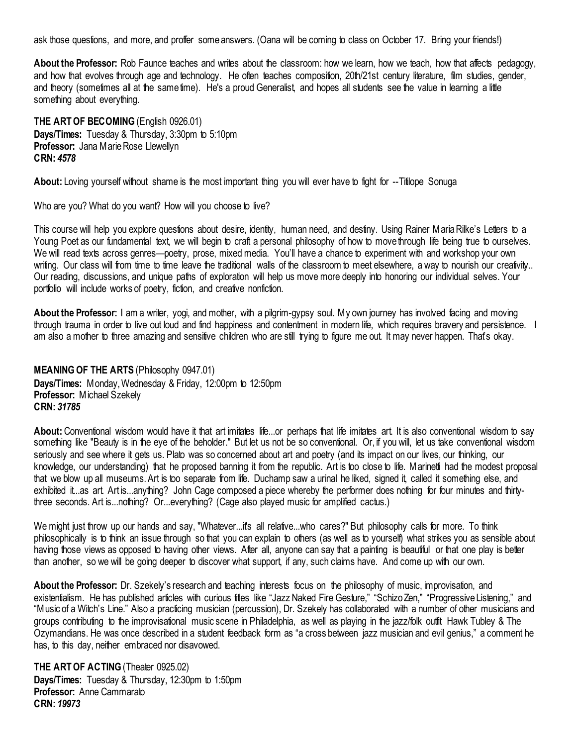ask those questions, and more, and proffer some answers. (Oana will be coming to class on October 17. Bring your friends!)

**About the Professor:** Rob Faunce teaches and writes about the classroom: how we learn, how we teach, how that affects pedagogy, and how that evolves through age and technology. He often teaches composition, 20th/21st century literature, film studies, gender, and theory (sometimes all at the same time). He's a proud Generalist, and hopes all students see the value in learning a little something about everything.

<span id="page-24-0"></span>**THE ART OF BECOMING** (English 0926.01) **Days/Times:** Tuesday & Thursday, 3:30pm to 5:10pm **Professor:** Jana Marie Rose Llewellyn **CRN:** *4578*

**About:** Loving yourself without shame is the most important thing you will ever have to fight for --Titilope Sonuga

Who are you? What do you want? How will you choose to live?

This course will help you explore questions about desire, identity, human need, and destiny. Using Rainer Maria Rilke's Letters to a Young Poet as our fundamental text, we will begin to craft a personal philosophy of how to move through life being true to ourselves. We will read texts across genres—poetry, prose, mixed media. You'll have a chance to experiment with and workshop your own writing. Our class will from time to time leave the traditional walls of the classroom to meet elsewhere, a way to nourish our creativity.. Our reading, discussions, and unique paths of exploration will help us move more deeply into honoring our individual selves. Your portfolio will include works of poetry, fiction, and creative nonfiction.

**About the Professor:** I am a writer, yogi, and mother, with a pilgrim-gypsy soul. My own journey has involved facing and moving through trauma in order to live out loud and find happiness and contentment in modern life, which requires bravery and persistence. I am also a mother to three amazing and sensitive children who are still trying to figure me out. It may never happen. That's okay.

<span id="page-24-1"></span>**MEANING OF THE ARTS** (Philosophy 0947.01) **Days/Times:** Monday, Wednesday & Friday, 12:00pm to 12:50pm **Professor:** Michael Szekely **CRN:** *31785*

**About:** Conventional wisdom would have it that art imitates life...or perhaps that life imitates art. It is also conventional wisdom to say something like "Beauty is in the eye of the beholder." But let us not be so conventional. Or, if you will, let us take conventional wisdom seriously and see where it gets us. Plato was so concerned about art and poetry (and its impact on our lives, our thinking, our knowledge, our understanding) that he proposed banning it from the republic. Art is too close to life. Marinetti had the modest proposal that we blow up all museums. Art is too separate from life. Duchamp saw a urinal he liked, signed it, called it something else, and exhibited it...as art. Art is...anything? John Cage composed a piece whereby the performer does nothing for four minutes and thirtythree seconds. Art is...nothing? Or...everything? (Cage also played music for amplified cactus.)

We might just throw up our hands and say, "Whatever...it's all relative...who cares?" But philosophy calls for more. To think philosophically is to think an issue through so that you can explain to others (as well as to yourself) what strikes you as sensible about having those views as opposed to having other views. After all, anyone can say that a painting is beautiful or that one play is better than another, so we will be going deeper to discover what support, if any, such claims have. And come up with our own.

About the Professor: Dr. Szekely's research and teaching interests focus on the philosophy of music, improvisation, and existentialism. He has published articles with curious titles like "Jazz Naked Fire Gesture," "Schizo Zen," "Progressive Listening," and "Music of a Witch's Line." Also a practicing musician (percussion), Dr. Szekely has collaborated with a number of other musicians and groups contributing to the improvisational music scene in Philadelphia, as well as playing in the jazz/folk outfit Hawk Tubley & The Ozymandians. He was once described in a student feedback form as "a cross between jazz musician and evil genius," a comment he has, to this day, neither embraced nor disavowed.

<span id="page-24-2"></span>**THE ART OF ACTING** (Theater 0925.02) **Days/Times:** Tuesday & Thursday, 12:30pm to 1:50pm **Professor:** Anne Cammarato **CRN:** *19973*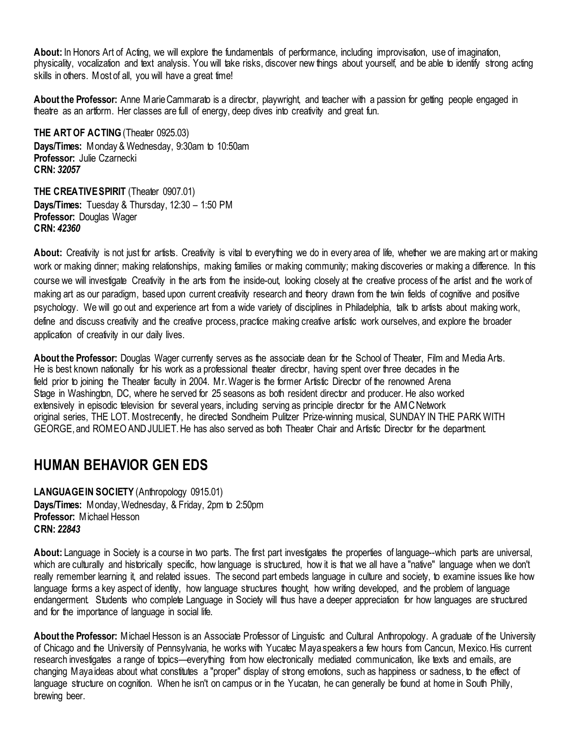**About:** In Honors Art of Acting, we will explore the fundamentals of performance, including improvisation, use of imagination, physicality, vocalization and text analysis. You will take risks, discover new things about yourself, and be able to identify strong acting skills in others. Most of all, you will have a great time!

**About the Professor:** Anne Marie Cammarato is a director, playwright, and teacher with a passion for getting people engaged in theatre as an artform. Her classes are full of energy, deep dives into creativity and great fun.

<span id="page-25-0"></span>**THE ART OF ACTING (Theater 0925.03) Days/Times:** Monday & Wednesday, 9:30am to 10:50am **Professor:** Julie Czarnecki **CRN:** *32057*

<span id="page-25-1"></span>**THE CREATIVE SPIRIT** (Theater 0907.01) **Days/Times:** Tuesday & Thursday, 12:30 – 1:50 PM **Professor:** Douglas Wager **CRN:** *42360*

**About:** Creativity is not just for artists. Creativity is vital to everything we do in every area of life, whether we are making art or making work or making dinner; making relationships, making families or making community; making discoveries or making a difference. In this course we will investigate Creativity in the arts from the inside-out, looking closely at the creative process of the artist and the work of making art as our paradigm, based upon current creativity research and theory drawn from the twin fields of cognitive and positive psychology. We will go out and experience art from a wide variety of disciplines in Philadelphia, talk to artists about making work, define and discuss creativity and the creative process, practice making creative artistic work ourselves, and explore the broader application of creativity in our daily lives.

**About the Professor:** Douglas Wager currently serves as the associate dean for the School of Theater, Film and Media Arts. He is best known nationally for his work as a professional theater director, having spent over three decades in the field prior to joining the Theater faculty in 2004. Mr. Wager is the former Artistic Director of the renowned Arena Stage in Washington, DC, where he served for 25 seasons as both resident director and producer. He also worked extensively in episodic television for several years, including serving as principle director for the AMC Network original series, THE LOT. Most recently, he directed Sondheim Pulitzer Prize-winning musical, SUNDAY IN THE PARK WITH GEORGE, and ROMEO AND JULIET. He has also served as both Theater Chair and Artistic Director for the department.

### <span id="page-25-2"></span>**HUMAN BEHAVIOR GEN EDS**

<span id="page-25-3"></span>**LANGUAGE IN SOCIETY** (Anthropology 0915.01) **Days/Times:** Monday, Wednesday, & Friday, 2pm to 2:50pm **Professor:** Michael Hesson **CRN:** *22843*

**About:** Language in Society is a course in two parts. The first part investigates the properties of language--which parts are universal, which are culturally and historically specific, how language is structured, how it is that we all have a "native" language when we don't really remember learning it, and related issues. The second part embeds language in culture and society, to examine issues like how language forms a key aspect of identity, how language structures thought, how writing developed, and the problem of language endangerment. Students who complete Language in Society will thus have a deeper appreciation for how languages are structured and for the importance of language in social life.

**About the Professor:** Michael Hesson is an Associate Professor of Linguistic and Cultural Anthropology. A graduate of the University of Chicago and the University of Pennsylvania, he works with Yucatec Maya speakers a few hours from Cancun, Mexico. His current research investigates a range of topics—everything from how electronically mediated communication, like texts and emails, are changing Maya ideas about what constitutes a "proper" display of strong emotions, such as happiness or sadness, to the effect of language structure on cognition. When he isn't on campus or in the Yucatan, he can generally be found at home in South Philly, brewing beer.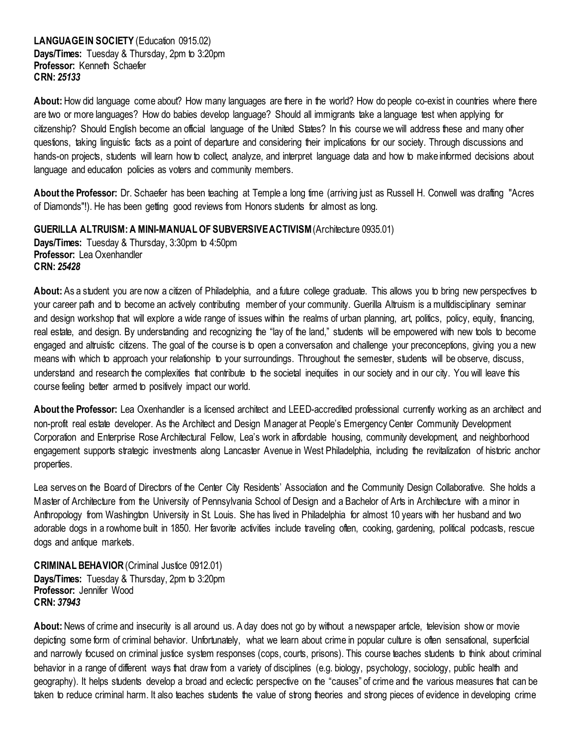#### <span id="page-26-0"></span>LANGUAGE IN SOCIETY (Education 0915.02) **Days/Times:** Tuesday & Thursday, 2pm to 3:20pm **Professor:** Kenneth Schaefer **CRN:** *25133*

**About:** How did language come about? How many languages are there in the world? How do people co-exist in countries where there are two or more languages? How do babies develop language? Should all immigrants take a language test when applying for citizenship? Should English become an official language of the United States? In this course we will address these and many other questions, taking linguistic facts as a point of departure and considering their implications for our society. Through discussions and hands-on projects, students will learn how to collect, analyze, and interpret language data and how to make informed decisions about language and education policies as voters and community members.

**About the Professor:** Dr. Schaefer has been teaching at Temple a long time (arriving just as Russell H. Conwell was drafting "Acres of Diamonds"!). He has been getting good reviews from Honors students for almost as long.

<span id="page-26-1"></span>**GUERILLA ALTRUISM: A MINI-MANUAL OF SUBVERSIVE ACTIVISM** (Architecture 0935.01) **Days/Times:** Tuesday & Thursday, 3:30pm to 4:50pm **Professor:** Lea Oxenhandler **CRN:** *25428*

**About:** As a student you are now a citizen of Philadelphia, and a future college graduate. This allows you to bring new perspectives to your career path and to become an actively contributing member of your community. Guerilla Altruism is a multidisciplinary seminar and design workshop that will explore a wide range of issues within the realms of urban planning, art, politics, policy, equity, financing, real estate, and design. By understanding and recognizing the "lay of the land," students will be empowered with new tools to become engaged and altruistic citizens. The goal of the course is to open a conversation and challenge your preconceptions, giving you a new means with which to approach your relationship to your surroundings. Throughout the semester, students will be observe, discuss, understand and research the complexities that contribute to the societal inequities in our society and in our city. You will leave this course feeling better armed to positively impact our world.

**About the Professor:** Lea Oxenhandler is a licensed architect and LEED-accredited professional currently working as an architect and non-profit real estate developer. As the Architect and Design Manager at People's Emergency Center Community Development Corporation and Enterprise Rose Architectural Fellow, Lea's work in affordable housing, community development, and neighborhood engagement supports strategic investments along Lancaster Avenue in West Philadelphia, including the revitalization of historic anchor properties.

Lea serves on the Board of Directors of the Center City Residents' Association and the Community Design Collaborative. She holds a Master of Architecture from the University of Pennsylvania School of Design and a Bachelor of Arts in Architecture with a minor in Anthropology from Washington University in St. Louis. She has lived in Philadelphia for almost 10 years with her husband and two adorable dogs in a rowhome built in 1850. Her favorite activities include traveling often, cooking, gardening, political podcasts, rescue dogs and antique markets.

<span id="page-26-2"></span>**CRIMINAL BEHAVIOR** (Criminal Justice 0912.01) **Days/Times:** Tuesday & Thursday, 2pm to 3:20pm **Professor:** Jennifer Wood **CRN:** *37943*

**About:** News of crime and insecurity is all around us. A day does not go by without a newspaper article, television show or movie depicting some form of criminal behavior. Unfortunately, what we learn about crime in popular culture is often sensational, superficial and narrowly focused on criminal justice system responses (cops, courts, prisons). This course teaches students to think about criminal behavior in a range of different ways that draw from a variety of disciplines (e.g. biology, psychology, sociology, public health and geography). It helps students develop a broad and eclectic perspective on the "causes" of crime and the various measures that can be taken to reduce criminal harm. It also teaches students the value of strong theories and strong pieces of evidence in developing crime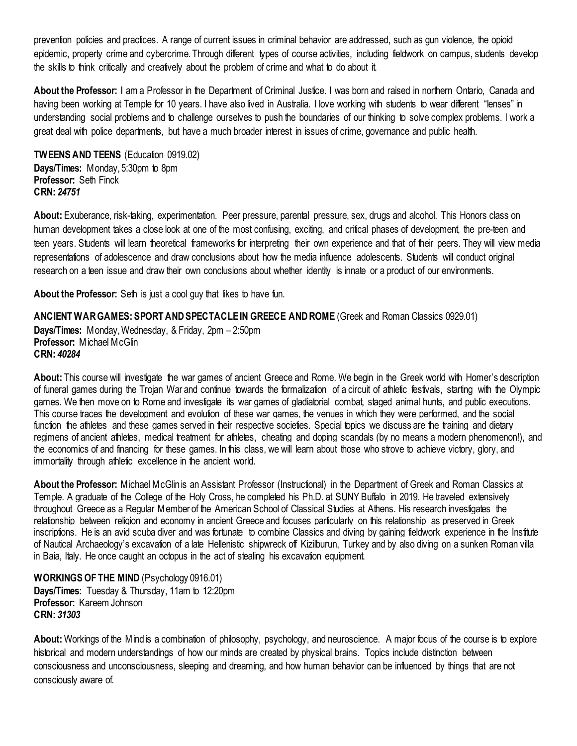prevention policies and practices. A range of current issues in criminal behavior are addressed, such as gun violence, the opioid epidemic, property crime and cybercrime. Through different types of course activities, including fieldwork on campus, students develop the skills to think critically and creatively about the problem of crime and what to do about it.

**About the Professor:** I am a Professor in the Department of Criminal Justice. I was born and raised in northern Ontario, Canada and having been working at Temple for 10 years. I have also lived in Australia. I love working with students to wear different "lenses" in understanding social problems and to challenge ourselves to push the boundaries of our thinking to solve complex problems. I work a great deal with police departments, but have a much broader interest in issues of crime, governance and public health.

<span id="page-27-0"></span>**TWEENS AND TEENS (Education 0919.02) Days/Times:** Monday, 5:30pm to 8pm **Professor:** Seth Finck **CRN:** *24751*

**About:** Exuberance, risk-taking, experimentation. Peer pressure, parental pressure, sex, drugs and alcohol. This Honors class on human development takes a close look at one of the most confusing, exciting, and critical phases of development, the pre-teen and teen years. Students will learn theoretical frameworks for interpreting their own experience and that of their peers. They will view media representations of adolescence and draw conclusions about how the media influence adolescents. Students will conduct original research on a teen issue and draw their own conclusions about whether identity is innate or a product of our environments.

**About the Professor:** Seth is just a cool guy that likes to have fun.

#### <span id="page-27-1"></span>**ANCIENT WAR GAMES: SPORT AND SPECTACLE IN GREECE AND ROME** (Greek and Roman Classics 0929.01)

**Days/Times:** Monday, Wednesday, & Friday, 2pm – 2:50pm **Professor:** Michael McGlin **CRN:** *40284*

**About:** This course will investigate the war games of ancient Greece and Rome. We begin in the Greek world with Homer's description of funeral games during the Trojan War and continue towards the formalization of a circuit of athletic festivals, starting with the Olympic games. We then move on to Rome and investigate its war games of gladiatorial combat, staged animal hunts, and public executions. This course traces the development and evolution of these war games, the venues in which they were performed, and the social function the athletes and these games served in their respective societies. Special topics we discuss are the training and dietary regimens of ancient athletes, medical treatment for athletes, cheating and doping scandals (by no means a modern phenomenon!), and the economics of and financing for these games. In this class, we will learn about those who strove to achieve victory, glory, and immortality through athletic excellence in the ancient world.

**About the Professor:** Michael McGlin is an Assistant Professor (Instructional) in the Department of Greek and Roman Classics at Temple. A graduate of the College of the Holy Cross, he completed his Ph.D. at SUNY Buffalo in 2019. He traveled extensively throughout Greece as a Regular Member of the American School of Classical Studies at Athens. His research investigates the relationship between religion and economy in ancient Greece and focuses particularly on this relationship as preserved in Greek inscriptions. He is an avid scuba diver and was fortunate to combine Classics and diving by gaining fieldwork experience in the Institute of Nautical Archaeology's excavation of a late Hellenistic shipwreck off Kizilburun, Turkey and by also diving on a sunken Roman villa in Baia, Italy. He once caught an octopus in the act of stealing his excavation equipment.

<span id="page-27-2"></span>**WORKINGS OF THE MIND** (Psychology 0916.01) **Days/Times:** Tuesday & Thursday, 11am to 12:20pm **Professor:** Kareem Johnson **CRN:** *31303*

**About:** Workings of the Mind is a combination of philosophy, psychology, and neuroscience. A major focus of the course is to explore historical and modern understandings of how our minds are created by physical brains. Topics include distinction between consciousness and unconsciousness, sleeping and dreaming, and how human behavior can be influenced by things that are not consciously aware of.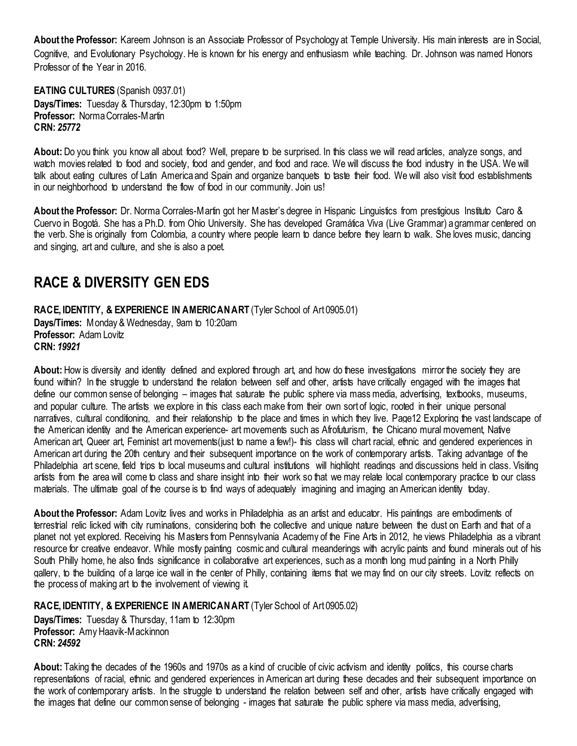**About the Professor:** Kareem Johnson is an Associate Professor of Psychology at Temple University. His main interests are in Social, Cognitive, and Evolutionary Psychology. He is known for his energy and enthusiasm while teaching. Dr. Johnson was named Honors Professor of the Year in 2016.

<span id="page-28-0"></span>**EATING CULTURES** (Spanish 0937.01) **Days/Times:** Tuesday & Thursday, 12:30pm to 1:50pm **Professor:** Norma Corrales-Martin **CRN:** *25772*

About: Do you think you know all about food? Well, prepare to be surprised. In this class we will read articles, analyze songs, and watch movies related to food and society, food and gender, and food and race. We will discuss the food industry in the USA. We will talk about eating cultures of Latin America and Spain and organize banquets to taste their food. We will also visit food establishments in our neighborhood to understand the flow of food in our community. Join us!

**About the Professor:** Dr. Norma Corrales-Martin got her Master's degree in Hispanic Linguistics from prestigious Instituto Caro & Cuervo in Bogotá. She has a Ph.D. from Ohio University. She has developed Gramática Viva (Live Grammar) a grammar centered on the verb. She is originally from Colombia, a country where people learn to dance before they learn to walk. She loves music, dancing and singing, art and culture, and she is also a poet.

# <span id="page-28-1"></span>**RACE & DIVERSITY GEN EDS**

<span id="page-28-2"></span>**RACE, IDENTITY, & EXPERIENCE IN AMERICAN ART** (Tyler School of Art 0905.01) **Days/Times:** Monday & Wednesday, 9am to 10:20am **Professor:** Adam Lovitz **CRN:** *19921*

**About:** How is diversity and identity defined and explored through art, and how do these investigations mirror the society they are found within? In the struggle to understand the relation between self and other, artists have critically engaged with the images that define our common sense of belonging – images that saturate the public sphere via mass media, advertising, textbooks, museums, and popular culture. The artists we explore in this class each make from their own sort of logic, rooted in their unique personal narratives, cultural conditioning, and their relationship to the place and times in which they live. Page12 Exploring the vast landscape of the American identity and the American experience- art movements such as Afrofuturism, the Chicano mural movement, Native American art, Queer art, Feminist art movements(just to name a few!)- this class will chart racial, ethnic and gendered experiences in American art during the 20th century and their subsequent importance on the work of contemporary artists. Taking advantage of the Philadelphia art scene, field trips to local museums and cultural institutions will highlight readings and discussions held in class. Visiting artists from the area will come to class and share insight into their work so that we may relate local contemporary practice to our class materials. The ultimate goal of the course is to find ways of adequately imagining and imaging an American identity today.

**About the Professor:** Adam Lovitz lives and works in Philadelphia as an artist and educator. His paintings are embodiments of terrestrial relic licked with city ruminations, considering both the collective and unique nature between the dust on Earth and that of a planet not yet explored. Receiving his Masters from Pennsylvania Academy of the Fine Arts in 2012, he views Philadelphia as a vibrant resource for creative endeavor. While mostly painting cosmic and cultural meanderings with acrylic paints and found minerals out of his South Philly home, he also finds significance in collaborative art experiences, such as a month long mud painting in a North Philly gallery, to the building of a large ice wall in the center of Philly, containing items that we may find on our city streets. Lovitz reflects on the process of making art to the involvement of viewing it.

<span id="page-28-3"></span>**RACE, IDENTITY, & EXPERIENCE IN AMERICAN ART** (Tyler School of Art 0905.02) **Days/Times:** Tuesday & Thursday, 11am to 12:30pm **Professor:** Amy Haavik-Mackinnon **CRN:** *24592*

**About:** Taking the decades of the 1960s and 1970s as a kind of crucible of civic activism and identity politics, this course charts representations of racial, ethnic and gendered experiences in American art during these decades and their subsequent importance on the work of contemporary artists. In the struggle to understand the relation between self and other, artists have critically engaged with the images that define our common sense of belonging - images that saturate the public sphere via mass media, advertising,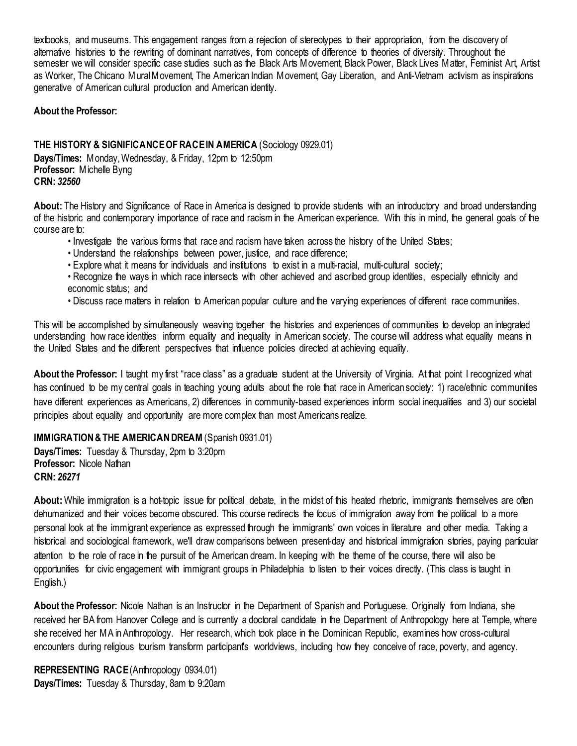textbooks, and museums. This engagement ranges from a rejection of stereotypes to their appropriation, from the discovery of alternative histories to the rewriting of dominant narratives, from concepts of difference to theories of diversity. Throughout the semester we will consider specific case studies such as the Black Arts Movement, Black Power, Black Lives Matter, Feminist Art, Artist as Worker, The Chicano Mural Movement, The American Indian Movement, Gay Liberation, and Anti-Vietnam activism as inspirations generative of American cultural production and American identity.

#### **About the Professor:**

<span id="page-29-0"></span>**THE HISTORY & SIGNIFICANCE OF RACE IN AMERICA** (Sociology 0929.01) **Days/Times:** Monday,Wednesday, & Friday, 12pm to 12:50pm **Professor:** Michelle Byng **CRN:** *32560*

**About:** The History and Significance of Race in America is designed to provide students with an introductory and broad understanding of the historic and contemporary importance of race and racism in the American experience. With this in mind, the general goals of the course are to:

- Investigate the various forms that race and racism have taken across the history of the United States;
- Understand the relationships between power, justice, and race difference;
- Explore what it means for individuals and institutions to exist in a multi-racial, multi-cultural society;
- Recognize the ways in which race intersects with other achieved and ascribed group identities, especially ethnicity and economic status; and
- Discuss race matters in relation to American popular culture and the varying experiences of different race communities.

This will be accomplished by simultaneously weaving together the histories and experiences of communities to develop an integrated understanding how race identities inform equality and inequality in American society. The course will address what equality means in the United States and the different perspectives that influence policies directed at achieving equality.

About the Professor: I taught my first "race class" as a graduate student at the University of Virginia. At that point I recognized what has continued to be my central goals in teaching young adults about the role that race in American society: 1) race/ethnic communities have different experiences as Americans, 2) differences in community-based experiences inform social inequalities and 3) our societal principles about equality and opportunity are more complex than most Americans realize.

#### <span id="page-29-1"></span>**IMMIGRATION & THE AMERICAN DREAM** (Spanish 0931.01)

**Days/Times:** Tuesday & Thursday, 2pm to 3:20pm **Professor:** Nicole Nathan **CRN:** *26271*

**About:** While immigration is a hot-topic issue for political debate, in the midst of this heated rhetoric, immigrants themselves are often dehumanized and their voices become obscured. This course redirects the focus of immigration away from the political to a more personal look at the immigrant experience as expressed through the immigrants' own voices in literature and other media. Taking a historical and sociological framework, we'll draw comparisons between present-day and historical immigration stories, paying particular attention to the role of race in the pursuit of the American dream. In keeping with the theme of the course, there will also be opportunities for civic engagement with immigrant groups in Philadelphia to listen to their voices directly. (This class is taught in English.)

**About the Professor:** Nicole Nathan is an Instructor in the Department of Spanish and Portuguese. Originally from Indiana, she received her BA from Hanover College and is currently a doctoral candidate in the Department of Anthropology here at Temple, where she received her MA in Anthropology. Her research, which took place in the Dominican Republic, examines how cross-cultural encounters during religious tourism transform participant's worldviews, including how they conceive of race, poverty, and agency.

<span id="page-29-2"></span>**REPRESENTING RACE (Anthropology 0934.01) Days/Times:** Tuesday & Thursday, 8am to 9:20am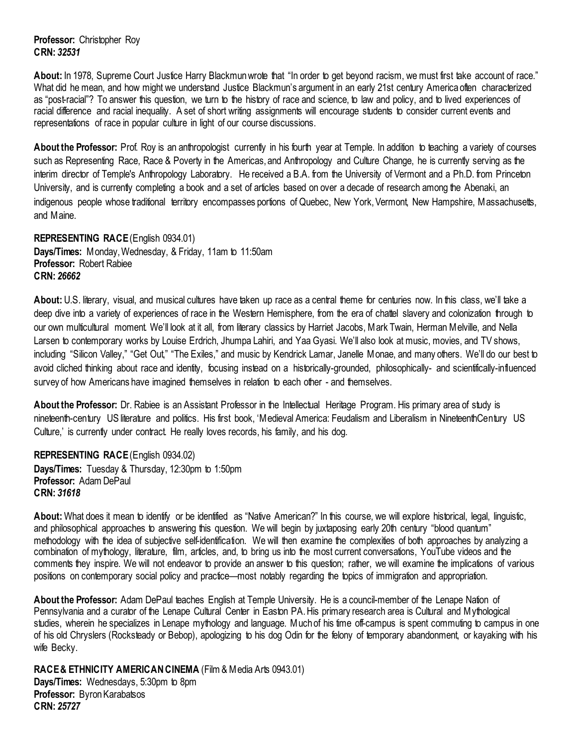**Professor:** Christopher Roy **CRN:** *32531*

About: In 1978, Supreme Court Justice Harry Blackmun wrote that "In order to get beyond racism, we must first take account of race." What did he mean, and how might we understand Justice Blackmun's argument in an early 21st century America often characterized as "post-racial"? To answer this question, we turn to the history of race and science, to law and policy, and to lived experiences of racial difference and racial inequality. A set of short writing assignments will encourage students to consider current events and representations of race in popular culture in light of our course discussions.

About the Professor: Prof. Roy is an anthropologist currently in his fourth year at Temple. In addition to teaching a variety of courses such as Representing Race, Race & Poverty in the Americas, and Anthropology and Culture Change, he is currently serving as the interim director of Temple's Anthropology Laboratory. He received a B.A. from the University of Vermont and a Ph.D. from Princeton University, and is currently completing a book and a set of articles based on over a decade of research among the Abenaki, an indigenous people whose traditional territory encompasses portions of Quebec, New York, Vermont, New Hampshire, Massachusetts, and Maine.

<span id="page-30-0"></span>**REPRESENTING RACE (English 0934.01) Days/Times:** Monday, Wednesday, & Friday, 11am to 11:50am **Professor:** Robert Rabiee **CRN:** *26662*

About: U.S. literary, visual, and musical cultures have taken up race as a central theme for centuries now. In this class, we'll take a deep dive into a variety of experiences of race in the Western Hemisphere, from the era of chattel slavery and colonization through to our own multicultural moment. We'll look at it all, from literary classics by Harriet Jacobs, Mark Twain, Herman Melville, and Nella Larsen to contemporary works by Louise Erdrich, Jhumpa Lahiri, and Yaa Gyasi. We'll also look at music, movies, and TV shows, including "Silicon Valley," "Get Out," "The Exiles," and music by Kendrick Lamar, Janelle Monae, and many others. We'll do our best to avoid cliched thinking about race and identity, focusing instead on a historically-grounded, philosophically- and scientifically-influenced survey of how Americans have imagined themselves in relation to each other - and themselves.

**About the Professor:** Dr. Rabiee is an Assistant Professor in the Intellectual Heritage Program. His primary area of study is nineteenth-century US literature and politics. His first book, 'Medieval America: Feudalism and Liberalism in NineteenthCentury US Culture,' is currently under contract. He really loves records, his family, and his dog.

<span id="page-30-1"></span>**REPRESENTING RACE (English 0934.02) Days/Times:** Tuesday & Thursday, 12:30pm to 1:50pm **Professor:** Adam DePaul **CRN:** *31618*

**About:** What does it mean to identify or be identified as "Native American?" In this course, we will explore historical, legal, linguistic, and philosophical approaches to answering this question. We will begin by juxtaposing early 20th century "blood quantum" methodology with the idea of subjective self-identification. We will then examine the complexities of both approaches by analyzing a combination of mythology, literature, film, articles, and, to bring us into the most current conversations, YouTube videos and the comments they inspire. We will not endeavor to provide an answer to this question; rather, we will examine the implications of various positions on contemporary social policy and practice—most notably regarding the topics of immigration and appropriation.

**About the Professor:** Adam DePaul teaches English at Temple University. He is a council-member of the Lenape Nation of Pennsylvania and a curator of the Lenape Cultural Center in Easton PA. His primary research area is Cultural and Mythological studies, wherein he specializes in Lenape mythology and language. Much of his time off-campus is spent commuting to campus in one of his old Chryslers (Rocksteady or Bebop), apologizing to his dog Odin for the felony of temporary abandonment, or kayaking with his wife Becky.

<span id="page-30-2"></span>**RACE & ETHNICITY AMERICAN CINEMA** (Film & Media Arts 0943.01) **Days/Times:** Wednesdays, 5:30pm to 8pm **Professor:** Byron Karabatsos **CRN:** *25727*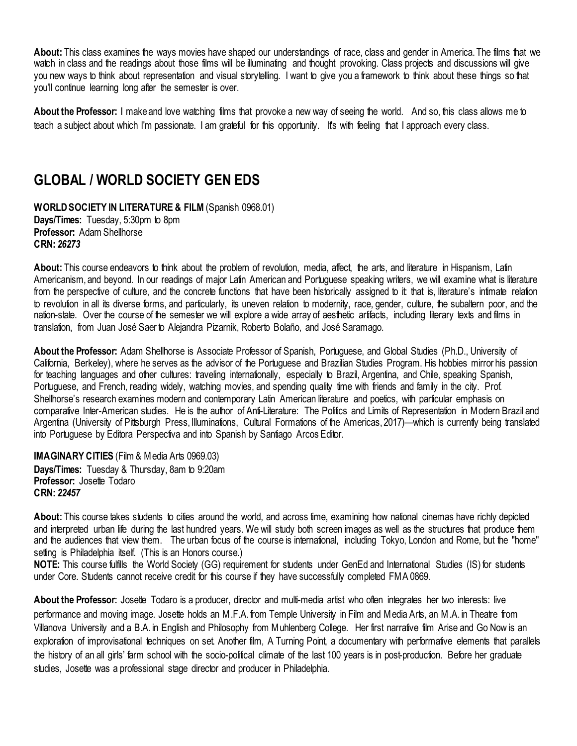**About:** This class examines the ways movies have shaped our understandings of race, class and gender in America. The films that we watch in class and the readings about those films will be illuminating and thought provoking. Class projects and discussions will give you new ways to think about representation and visual storytelling. I want to give you a framework to think about these things so that you'll continue learning long after the semester is over.

**About the Professor:** I make and love watching films that provoke a new way of seeing the world. And so, this class allows me to teach a subject about which I'm passionate. I am grateful for this opportunity. It's with feeling that I approach every class.

### <span id="page-31-0"></span>**GLOBAL / WORLD SOCIETY GEN EDS**

<span id="page-31-1"></span>**WORLD SOCIETY IN LITERATURE & FILM** (Spanish 0968.01) **Days/Times:** Tuesday, 5:30pm to 8pm **Professor:** Adam Shellhorse **CRN:** *26273*

**About:** This course endeavors to think about the problem of revolution, media, affect, the arts, and literature in Hispanism, Latin Americanism, and beyond. In our readings of major Latin American and Portuguese speaking writers, we will examine what is literature from the perspective of culture, and the concrete functions that have been historically assigned to it that is, literature's intimate relation to revolution in all its diverse forms, and particularly, its uneven relation to modernity, race, gender, culture, the subaltern poor, and the nation-state. Over the course of the semester we will explore a wide array of aesthetic artifacts, including literary texts and films in translation, from Juan José Saer to Alejandra Pizarnik, Roberto Bolaño, and José Saramago.

**About the Professor:** Adam Shellhorse is Associate Professor of Spanish, Portuguese, and Global Studies (Ph.D., University of California, Berkeley), where he serves as the advisor of the Portuguese and Brazilian Studies Program. His hobbies mirror his passion for teaching languages and other cultures: traveling internationally, especially to Brazil, Argentina, and Chile, speaking Spanish, Portuguese, and French, reading widely, watching movies, and spending quality time with friends and family in the city. Prof. Shellhorse's research examines modern and contemporary Latin American literature and poetics, with particular emphasis on comparative Inter-American studies. He is the author of Anti-Literature: The Politics and Limits of Representation in Modern Brazil and Argentina (University of Pittsburgh Press, Illuminations, Cultural Formations of the Americas, 2017)—which is currently being translated into Portuguese by Editora Perspectiva and into Spanish by Santiago Arcos Editor.

<span id="page-31-2"></span>**IMAGINARY CITIES** (Film & Media Arts 0969.03) **Days/Times:** Tuesday & Thursday, 8am to 9:20am **Professor:** Josette Todaro **CRN:** *22457*

**About:** This course takes students to cities around the world, and across time, examining how national cinemas have richly depicted and interpreted urban life during the last hundred years. We will study both screen images as well as the structures that produce them and the audiences that view them. The urban focus of the course is international, including Tokyo, London and Rome, but the "home" setting is Philadelphia itself. (This is an Honors course.)

**NOTE:** This course fulfills the World Society (GG) requirement for students under GenEd and International Studies (IS) for students under Core. Students cannot receive credit for this course if they have successfully completed FMA 0869.

**About the Professor:** Josette Todaro is a producer, director and multi-media artist who often integrates her two interests: live performance and moving image. Josette holds an M.F.A. from Temple University in Film and Media Arts, an M.A. in Theatre from Villanova University and a B.A. in English and Philosophy from Muhlenberg College. Her first narrative film Arise and Go Now is an exploration of improvisational techniques on set. Another film, A Turning Point, a documentary with performative elements that parallels the history of an all girls' farm school with the socio-political climate of the last 100 years is in post-production. Before her graduate studies, Josette was a professional stage director and producer in Philadelphia.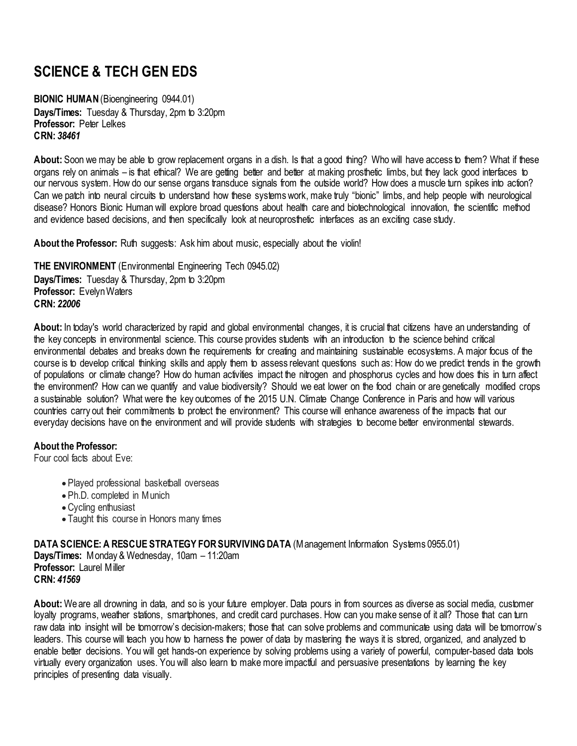# <span id="page-32-0"></span>**SCIENCE & TECH GEN EDS**

<span id="page-32-1"></span>**BIONIC HUMAN (Bioengineering 0944.01) Days/Times:** Tuesday & Thursday, 2pm to 3:20pm **Professor:** Peter Lelkes **CRN:** *38461*

**About:** Soon we may be able to grow replacement organs in a dish. Is that a good thing? Who will have access to them? What if these organs rely on animals – is that ethical? We are getting better and better at making prosthetic limbs, but they lack good interfaces to our nervous system. How do our sense organs transduce signals from the outside world? How does a muscle turn spikes into action? Can we patch into neural circuits to understand how these systems work, make truly "bionic" limbs, and help people with neurological disease? Honors Bionic Human will explore broad questions about health care and biotechnological innovation, the scientific method and evidence based decisions, and then specifically look at neuroprosthetic interfaces as an exciting case study.

About the Professor: Ruth suggests: Ask him about music, especially about the violin!

<span id="page-32-2"></span>**THE ENVIRONMENT** (Environmental Engineering Tech 0945.02) **Days/Times:** Tuesday & Thursday, 2pm to 3:20pm **Professor:** Evelyn Waters **CRN:** *22006*

**About:** In today's world characterized by rapid and global environmental changes, it is crucial that citizens have an understanding of the key concepts in environmental science. This course provides students with an introduction to the science behind critical environmental debates and breaks down the requirements for creating and maintaining sustainable ecosystems. A major focus of the course is to develop critical thinking skills and apply them to assess relevant questions such as: How do we predict trends in the growth of populations or climate change? How do human activities impact the nitrogen and phosphorus cycles and how does this in turn affect the environment? How can we quantify and value biodiversity? Should we eat lower on the food chain or are genetically modified crops a sustainable solution? What were the key outcomes of the 2015 U.N. Climate Change Conference in Paris and how will various countries carry out their commitments to protect the environment? This course will enhance awareness of the impacts that our everyday decisions have on the environment and will provide students with strategies to become better environmental stewards.

#### **About the Professor:**

Four cool facts about Eve:

- Played professional basketball overseas
- Ph.D. completed in Munich
- •Cycling enthusiast
- Taught this course in Honors many times

<span id="page-32-3"></span>**DATA SCIENCE: A RESCUE STRATEGY FOR SURVIVING DATA** (Management Information Systems 0955.01) **Days/Times:** Monday & Wednesday, 10am – 11:20am **Professor:** Laurel Miller **CRN:** *41569*

**About:** We are all drowning in data, and so is your future employer. Data pours in from sources as diverse as social media, customer loyalty programs, weather stations, smartphones, and credit card purchases. How can you make sense of it all? Those that can turn raw data into insight will be tomorrow's decision-makers; those that can solve problems and communicate using data will be tomorrow's leaders. This course will teach you how to harness the power of data by mastering the ways it is stored, organized, and analyzed to enable better decisions. You will get hands-on experience by solving problems using a variety of powerful, computer-based data tools virtually every organization uses. You will also learn to make more impactful and persuasive presentations by learning the key principles of presenting data visually.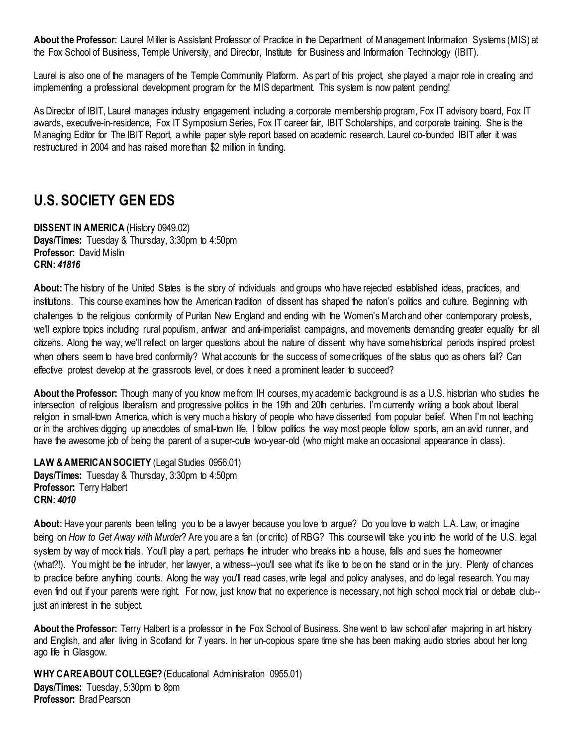**About the Professor:** Laurel Miller is Assistant Professor of Practice in the Department of Management Information Systems (MIS) at the Fox School of Business, Temple University, and Director, Institute for Business and Information Technology (IBIT).

Laurel is also one of the managers of the Temple Community Platform. As part of this project, she played a major role in creating and implementing a professional development program for the MIS department. This system is now patent pending!

As Director of IBIT, Laurel manages industry engagement including a corporate membership program, Fox IT advisory board, Fox IT awards, executive-in-residence, Fox IT Symposium Series, Fox IT career fair, IBIT Scholarships, and corporate training. She is the Managing Editor for The IBIT Report, a white paper style report based on academic research. Laurel co-founded IBIT after it was restructured in 2004 and has raised more than \$2 million in funding.

### <span id="page-33-0"></span>**U.S. SOCIETY GEN EDS**

<span id="page-33-1"></span>**DISSENT IN AMERICA** (History 0949.02) **Days/Times:** Tuesday & Thursday, 3:30pm to 4:50pm **Professor:** David Mislin **CRN:** *41816*

**About:** The history of the United States is the story of individuals and groups who have rejected established ideas, practices, and institutions. This course examines how the American tradition of dissent has shaped the nation's politics and culture. Beginning with challenges to the religious conformity of Puritan New England and ending with the Women's March and other contemporary protests, we'll explore topics including rural populism, antiwar and anti-imperialist campaigns, and movements demanding greater equality for all citizens. Along the way, we'll reflect on larger questions about the nature of dissent: why have some historical periods inspired protest when others seem to have bred conformity? What accounts for the success of some critiques of the status quo as others fail? Can effective protest develop at the grassroots level, or does it need a prominent leader to succeed?

**About the Professor:** Though many of you know me from IH courses, my academic background is as a U.S. historian who studies the intersection of religious liberalism and progressive politics in the 19th and 20th centuries. I'm currently writing a book about liberal religion in small-town America, which is very much a history of people who have dissented from popular belief. When I'm not teaching or in the archives digging up anecdotes of small-town life, I follow politics the way most people follow sports, am an avid runner, and have the awesome job of being the parent of a super-cute two-year-old (who might make an occasional appearance in class).

<span id="page-33-2"></span>LAW & AMERICAN SOCIETY *(Legal Studies 0956.01)* **Days/Times:** Tuesday & Thursday, 3:30pm to 4:50pm **Professor:** Terry Halbert **CRN:** *4010*

**About:** Have your parents been telling you to be a lawyer because you love to argue? Do you love to watch L.A. Law, or imagine being on *How to Get Away with Murder*? Are you are a fan (or critic) of RBG? This course will take you into the world of the U.S. legal system by way of mock trials. You'll play a part, perhaps the intruder who breaks into a house, falls and sues the homeowner (what?!). You might be the intruder, her lawyer, a witness--you'll see what it's like to be on the stand or in the jury. Plenty of chances to practice before anything counts. Along the way you'll read cases, write legal and policy analyses, and do legal research. You may even find out if your parents were right. For now, just know that no experience is necessary, not high school mock trial or debate club- just an interest in the subject.

**About the Professor:** Terry Halbert is a professor in the Fox School of Business. She went to law school after majoring in art history and English, and after living in Scotland for 7 years. In her un-copious spare time she has been making audio stories about her long ago life in Glasgow.

<span id="page-33-3"></span>WHY CARE ABOUT COLLEGE? (Educational Administration 0955.01) **Days/Times:** Tuesday, 5:30pm to 8pm **Professor:** Brad Pearson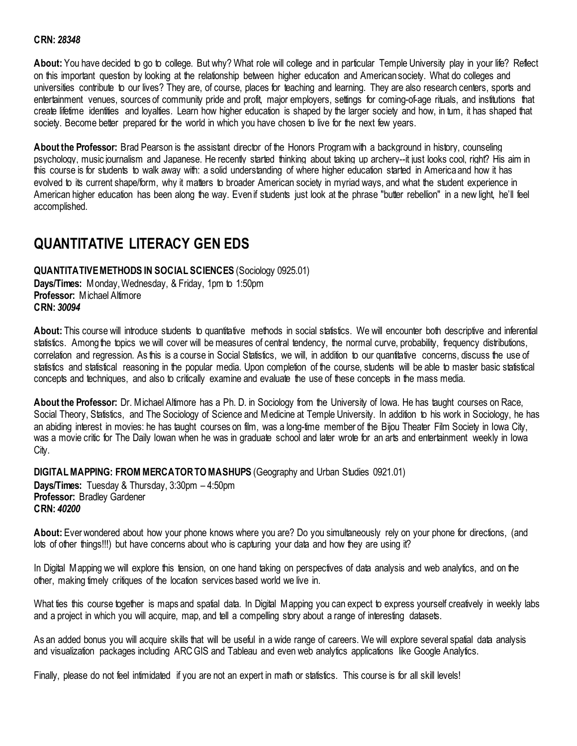#### **CRN:** *28348*

**About:** You have decided to go to college. But why? What role will college and in particular Temple University play in your life? Reflect on this important question by looking at the relationship between higher education and American society. What do colleges and universities contribute to our lives? They are, of course, places for teaching and learning. They are also research centers, sports and entertainment venues, sources of community pride and profit, major employers, settings for coming-of-age rituals, and institutions that create lifetime identities and loyalties. Learn how higher education is shaped by the larger society and how, in tum, it has shaped that society. Become better prepared for the world in which you have chosen to live for the next few years.

**About the Professor:** Brad Pearson is the assistant director of the Honors Program with a background in history, counseling psychology, music journalism and Japanese. He recently started thinking about taking up archery--it just looks cool, right? His aim in this course is for students to walk away with: a solid understanding of where higher education started in America and how it has evolved to its current shape/form, why it matters to broader American society in myriad ways, and what the student experience in American higher education has been along the way. Even if students just look at the phrase "butter rebellion" in a new light, he'll feel accomplished.

### <span id="page-34-0"></span>**QUANTITATIVE LITERACY GEN EDS**

<span id="page-34-1"></span>**QUANTITATIVE METHODS IN SOCIAL SCIENCES** (Sociology 0925.01) **Days/Times:** Monday, Wednesday, & Friday, 1pm to 1:50pm **Professor:** Michael Altimore **CRN:** *30094*

About: This course will introduce students to quantitative methods in social statistics. We will encounter both descriptive and inferential statistics. Among the topics we will cover will be measures of central tendency, the normal curve, probability, frequency distributions, correlation and regression. As this is a course in Social Statistics, we will, in addition to our quantitative concerns, discuss the use of statistics and statistical reasoning in the popular media. Upon completion of the course, students will be able to master basic statistical concepts and techniques, and also to critically examine and evaluate the use of these concepts in the mass media.

**About the Professor:** Dr. Michael Altimore has a Ph. D. in Sociology from the University of Iowa. He has taught courses on Race, Social Theory, Statistics, and The Sociology of Science and Medicine at Temple University. In addition to his work in Sociology, he has an abiding interest in movies: he has taught courses on film, was a long-time member of the Bijou Theater Film Society in Iowa City, was a movie critic for The Daily Iowan when he was in graduate school and later wrote for an arts and entertainment weekly in Iowa City.

<span id="page-34-2"></span>**DIGITAL MAPPING: FROM MERCATOR TO MASHUPS** (Geography and Urban Studies 0921.01)

**Days/Times:** Tuesday & Thursday, 3:30pm – 4:50pm **Professor:** Bradley Gardener **CRN:** *40200*

**About:** Ever wondered about how your phone knows where you are? Do you simultaneously rely on your phone for directions, (and lots of other things!!!) but have concerns about who is capturing your data and how they are using it?

In Digital Mapping we will explore this tension, on one hand taking on perspectives of data analysis and web analytics, and on the other, making timely critiques of the location services based world we live in.

What ties this course together is maps and spatial data. In Digital Mapping you can expect to express yourself creatively in weekly labs and a project in which you will acquire, map, and tell a compelling story about a range of interesting datasets.

As an added bonus you will acquire skills that will be useful in a wide range of careers. We will explore several spatial data analysis and visualization packages including ARC GIS and Tableau and even web analytics applications like Google Analytics.

Finally, please do not feel intimidated if you are not an expert in math or statistics. This course is for all skill levels!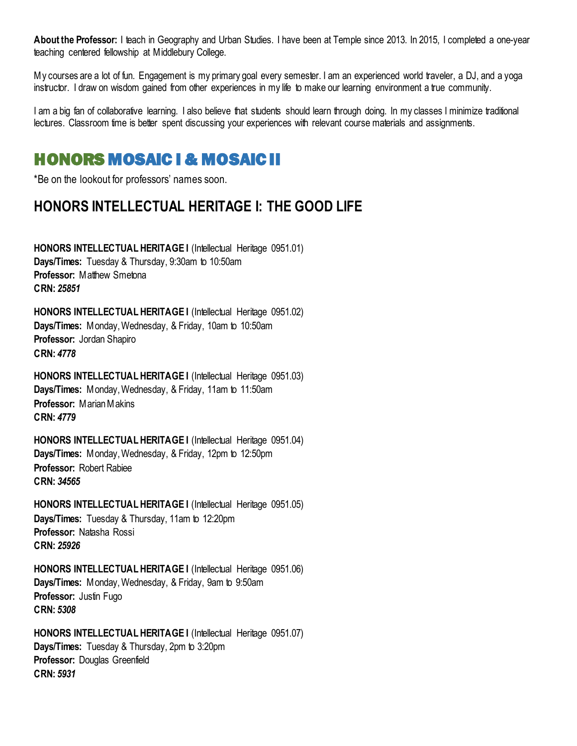**About the Professor:** I teach in Geography and Urban Studies. I have been at Temple since 2013. In 2015, I completed a one-year teaching centered fellowship at Middlebury College.

My courses are a lot of fun. Engagement is my primary goal every semester. I am an experienced world traveler, a DJ, and a yoga instructor. I draw on wisdom gained from other experiences in my life to make our learning environment a true community.

I am a big fan of collaborative learning. I also believe that students should learn through doing. In my classes I minimize traditional lectures. Classroom time is better spent discussing your experiences with relevant course materials and assignments.

# <span id="page-35-0"></span>HONORS MOSAIC I & MOSAIC II

\*Be on the lookout for professors' names soon.

## <span id="page-35-1"></span>**HONORS INTELLECTUAL HERITAGE I: THE GOOD LIFE**

**HONORS INTELLECTUAL HERITAGE I (Intellectual Heritage 0951.01) Days/Times:** Tuesday & Thursday, 9:30am to 10:50am **Professor: Matthew Smetona CRN:** *25851*

**HONORS INTELLECTUAL HERITAGE I** (Intellectual Heritage 0951.02) **Days/Times:** Monday, Wednesday, & Friday, 10am to 10:50am **Professor:** Jordan Shapiro **CRN:** *4778*

**HONORS INTELLECTUAL HERITAGE I** (Intellectual Heritage 0951.03) **Days/Times:** Monday, Wednesday, & Friday, 11am to 11:50am **Professor:** Marian Makins **CRN:** *4779*

**HONORS INTELLECTUAL HERITAGE I** (Intellectual Heritage 0951.04) **Days/Times:** Monday, Wednesday, & Friday, 12pm to 12:50pm **Professor:** Robert Rabiee **CRN:** *34565*

**HONORS INTELLECTUAL HERITAGE I** (Intellectual Heritage 0951.05) **Days/Times:** Tuesday & Thursday, 11am to 12:20pm **Professor:** Natasha Rossi **CRN:** *25926*

**HONORS INTELLECTUAL HERITAGE I (Intellectual Heritage 0951.06) Days/Times:** Monday, Wednesday, & Friday, 9am to 9:50am **Professor:** Justin Fugo **CRN:** *5308*

**HONORS INTELLECTUAL HERITAGE I (Intellectual Heritage 0951.07) Days/Times:** Tuesday & Thursday, 2pm to 3:20pm **Professor:** Douglas Greenfield **CRN:** *5931*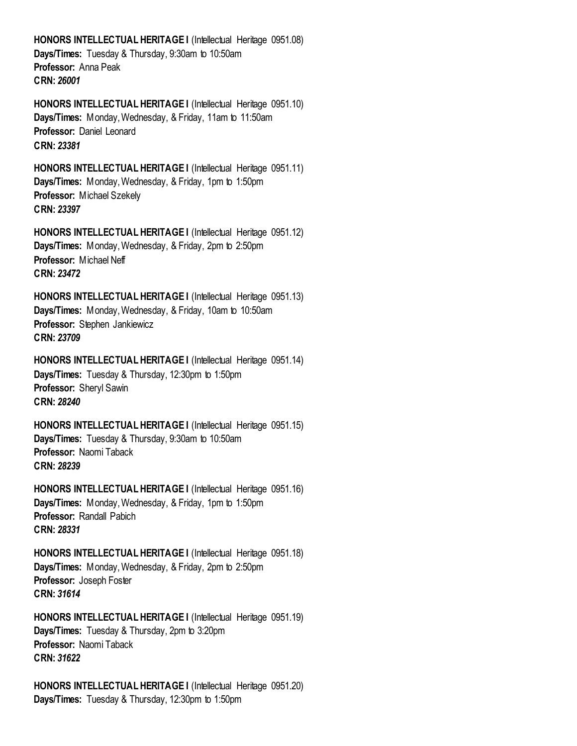**HONORS INTELLECTUAL HERITAGE I** (Intellectual Heritage 0951.08) **Days/Times:** Tuesday & Thursday, 9:30am to 10:50am **Professor:** Anna Peak **CRN:** *26001*

**HONORS INTELLECTUAL HERITAGE I (Intellectual Heritage 0951.10) Days/Times:** Monday, Wednesday, & Friday, 11am to 11:50am **Professor:** Daniel Leonard **CRN:** *23381*

**HONORS INTELLECTUAL HERITAGE I (Intellectual Heritage 0951.11) Days/Times:** Monday, Wednesday, & Friday, 1pm to 1:50pm **Professor:** Michael Szekely **CRN:** *23397*

**HONORS INTELLECTUAL HERITAGE I** (Intellectual Heritage 0951.12) **Days/Times:** Monday, Wednesday, & Friday, 2pm to 2:50pm **Professor:** Michael Neff **CRN:** *23472*

**HONORS INTELLECTUAL HERITAGE I (Intellectual Heritage 0951.13) Days/Times:** Monday, Wednesday, & Friday, 10am to 10:50am **Professor:** Stephen Jankiewicz **CRN:** *23709*

**HONORS INTELLECTUAL HERITAGE I** (Intellectual Heritage 0951.14) **Days/Times:** Tuesday & Thursday, 12:30pm to 1:50pm **Professor:** Sheryl Sawin **CRN:** *28240*

**HONORS INTELLECTUAL HERITAGE I** (Intellectual Heritage 0951.15) **Days/Times:** Tuesday & Thursday, 9:30am to 10:50am **Professor:** Naomi Taback **CRN:** *28239*

**HONORS INTELLECTUAL HERITAGE I (Intellectual Heritage 0951.16) Days/Times:** Monday, Wednesday, & Friday, 1pm to 1:50pm **Professor:** Randall Pabich **CRN:** *28331*

**HONORS INTELLECTUAL HERITAGE I** (Intellectual Heritage 0951.18) **Days/Times:** Monday, Wednesday, & Friday, 2pm to 2:50pm **Professor:** Joseph Foster **CRN:** *31614*

**HONORS INTELLECTUAL HERITAGE I (Intellectual Heritage 0951.19) Days/Times:** Tuesday & Thursday, 2pm to 3:20pm **Professor:** Naomi Taback **CRN:** *31622*

**HONORS INTELLECTUAL HERITAGE I (Intellectual Heritage 0951.20) Days/Times:** Tuesday & Thursday, 12:30pm to 1:50pm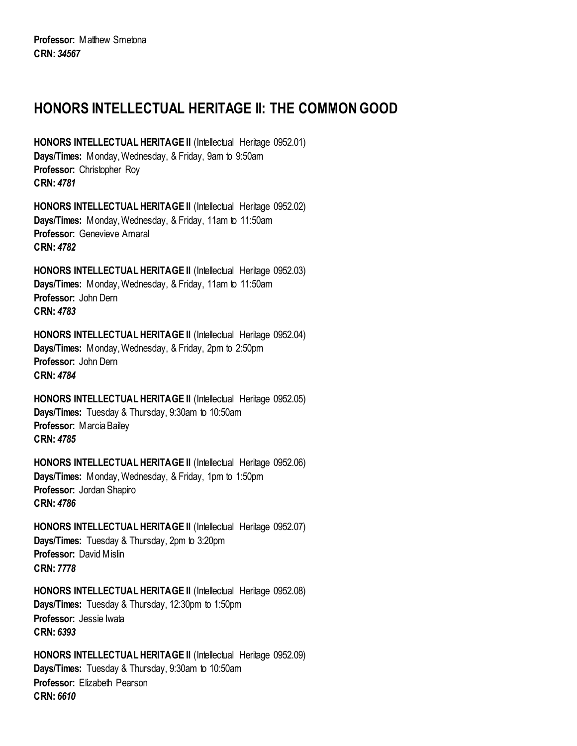## <span id="page-37-0"></span>**HONORS INTELLECTUAL HERITAGE II: THE COMMON GOOD**

**HONORS INTELLECTUAL HERITAGE II** (Intellectual Heritage 0952.01) **Days/Times:** Monday, Wednesday, & Friday, 9am to 9:50am **Professor:** Christopher Roy **CRN:** *4781*

**HONORS INTELLECTUAL HERITAGE II** (Intellectual Heritage 0952.02) **Days/Times:** Monday, Wednesday, & Friday, 11am to 11:50am **Professor:** Genevieve Amaral **CRN:** *4782*

**HONORS INTELLECTUAL HERITAGE II** (Intellectual Heritage 0952.03) **Days/Times:** Monday, Wednesday, & Friday, 11am to 11:50am **Professor:** John Dern **CRN:** *4783*

**HONORS INTELLECTUAL HERITAGE II** (Intellectual Heritage 0952.04) **Days/Times:** Monday, Wednesday, & Friday, 2pm to 2:50pm **Professor:** John Dern **CRN:** *4784*

**HONORS INTELLECTUAL HERITAGE II** (Intellectual Heritage 0952.05) **Days/Times:** Tuesday & Thursday, 9:30am to 10:50am **Professor:** Marcia Bailey **CRN:** *4785*

**HONORS INTELLECTUAL HERITAGE II** (Intellectual Heritage 0952.06) **Days/Times:** Monday, Wednesday, & Friday, 1pm to 1:50pm **Professor:** Jordan Shapiro **CRN:** *4786*

**HONORS INTELLECTUAL HERITAGE II** (Intellectual Heritage 0952.07) **Days/Times:** Tuesday & Thursday, 2pm to 3:20pm **Professor:** David Mislin **CRN:** *7778*

**HONORS INTELLECTUAL HERITAGE II** (Intellectual Heritage 0952.08) **Days/Times:** Tuesday & Thursday, 12:30pm to 1:50pm **Professor:** Jessie Iwata **CRN:** *6393*

**HONORS INTELLECTUAL HERITAGE II** (Intellectual Heritage 0952.09) **Days/Times:** Tuesday & Thursday, 9:30am to 10:50am **Professor:** Elizabeth Pearson **CRN:** *6610*